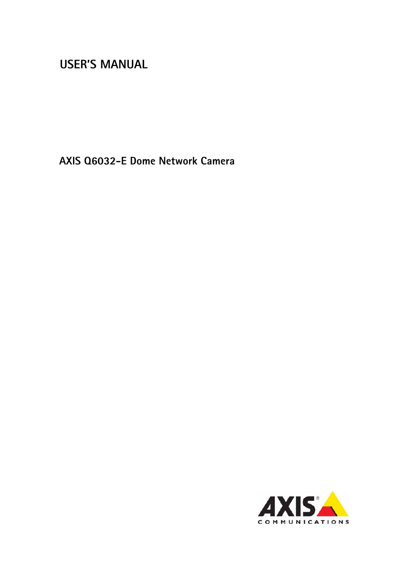# **USER'S MANUAL**

**AXIS Q6032-E Dome Network Camera**

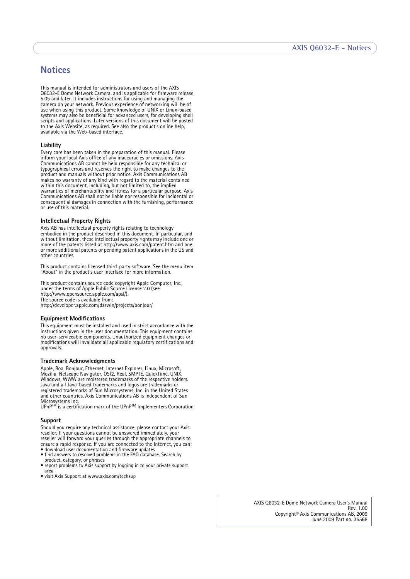# <span id="page-1-0"></span>**Notices**

This manual is intended for administrators and users of the AXIS Q6032-E Dome Network Camera, and is applicable for firmware release 5.05 and later. It includes instructions for using and managing the camera on your network. Previous experience of networking will be of use when using this product. Some knowledge of UNIX or Linux-based systems may also be beneficial for advanced users, for developing shell scripts and applications. Later versions of this document will be posted to the Axis Website, as required. See also the product's online help, available via the Web-based interface.

#### **Liability**

Every care has been taken in the preparation of this manual. Please inform your local Axis office of any inaccuracies or omissions. Axis Communications AB cannot be held responsible for any technical or typographical errors and reserves the right to make changes to the product and manuals without prior notice. Axis Communications AB makes no warranty of any kind with regard to the material contained within this document, including, but not limited to, the implied warranties of merchantability and fitness for a particular purpose. Axis Communications AB shall not be liable nor responsible for incidental or consequential damages in connection with the furnishing, performance or use of this material.

## **Intellectual Property Rights**

Axis AB has intellectual property rights relating to technology embodied in the product described in this document. In particular, and without limitation, these intellectual property rights may include one or more of the patents listed at http://www.axis.com/patent.htm and one or more additional patents or pending patent applications in the US and other countries.

This product contains licensed third-party software. See the menu item "About" in the product's user interface for more information.

This product contains source code copyright Apple Computer, Inc., under the terms of Apple Public Source License 2.0 (see http://www.opensource.apple.com/apsl/). The source code is available from:

http://developer.apple.com/darwin/projects/bonjour/

#### **Equipment Modifications**

This equipment must be installed and used in strict accordance with the instructions given in the user documentation. This equipment contains no user-serviceable components. Unauthorized equipment changes or modifications will invalidate all applicable regulatory certifications and approvals.

#### **Trademark Acknowledgments**

Apple, Boa, Bonjour, Ethernet, Internet Explorer, Linux, Microsoft, Mozilla, Netscape Navigator, OS/2, Real, SMPTE, QuickTime, UNIX, Windows, WWW are registered trademarks of the respective holders. Java and all Java-based trademarks and logos are trademarks or registered trademarks of Sun Microsystems, Inc. in the United States and other countries. Axis Communications AB is independent of Sun Microsystems Inc.<br>UPnP™ is a certification mark of the UPnP™ Implementers Corporation.

#### **Support**

Should you require any technical assistance, please contact your Axis reseller. If your questions cannot be answered immediately, your reseller will forward your queries through the appropriate channels to ensure a rapid response. If you are connected to the Internet, you can: • download user documentation and firmware updates

- find answers to resolved problems in the FAQ database. Search by
- product, category, or phrases report problems to Axis support by logging in to your private support area
- visit Axis Support at www.axis.com/techsup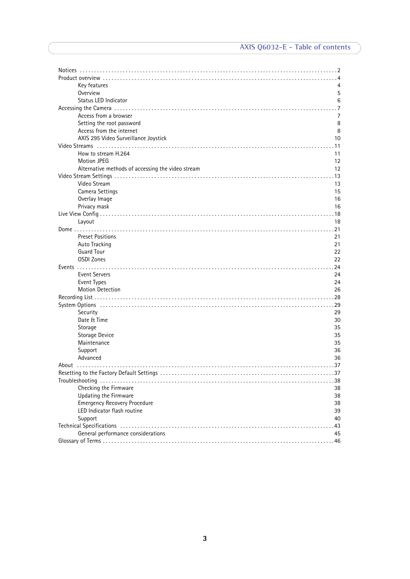| Key features                                      | 4              |
|---------------------------------------------------|----------------|
| Overview                                          | 5              |
| Status LED Indicator                              | 6              |
|                                                   | .7             |
| Access from a browser                             | $\overline{7}$ |
| Setting the root password                         | 8              |
| Access from the internet                          | 8              |
| AXIS 295 Video Surveillance Joystick              | 10             |
|                                                   | . 11           |
| How to stream H.264                               | 11             |
| <b>Motion JPEG</b>                                | 12             |
| Alternative methods of accessing the video stream | 12             |
|                                                   |                |
| Video Stream                                      | 13             |
| Camera Settings                                   | 15             |
| Overlay Image                                     | 16             |
| Privacy mask                                      | 16             |
|                                                   |                |
| Layout                                            | 18             |
|                                                   |                |
| <b>Preset Positions</b>                           | 21             |
| Auto Tracking                                     | 21             |
| <b>Guard Tour</b>                                 | 22             |
| <b>OSDI Zones</b>                                 | 22             |
|                                                   |                |
| <b>Event Servers</b>                              | 24             |
| Event Types                                       | 24             |
| <b>Motion Detection</b>                           | 26             |
|                                                   |                |
| Security                                          | 29             |
| Date & Time                                       | 30             |
| Storage                                           | 35             |
| Storage Device                                    | 35             |
| Maintenance                                       | 35             |
| Support                                           | 36             |
| Advanced                                          | 36             |
|                                                   |                |
| Resetting to the Factory Default Settings         | 37             |
|                                                   |                |
| Checking the Firmware                             | 38             |
| Updating the Firmware                             | 38             |
| <b>Emergency Recovery Procedure</b>               | 38             |
| LED Indicator flash routine                       | 39             |
| Support                                           | 40             |
|                                                   | .43            |
| General performance considerations                | 45             |
|                                                   |                |
|                                                   |                |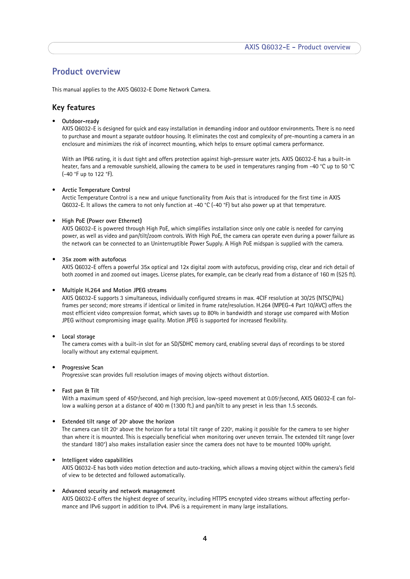# <span id="page-3-0"></span>**Product overview**

This manual applies to the AXIS Q6032-E Dome Network Camera.

## <span id="page-3-1"></span>**Key features**

• **Outdoor-ready**

AXIS Q6032-E is designed for quick and easy installation in demanding indoor and outdoor environments. There is no need to purchase and mount a separate outdoor housing. It eliminates the cost and complexity of pre-mounting a camera in an enclosure and minimizes the risk of incorrect mounting, which helps to ensure optimal camera performance.

With an IP66 rating, it is dust tight and offers protection against high-pressure water jets. AXIS Q6032-E has a built-in heater, fans and a removable sunshield, allowing the camera to be used in temperatures ranging from -40 °C up to 50 °C (-40 °F up to 122 °F).

#### • **Arctic Temperature Control**

Arctic Temperature Control is a new and unique functionality from Axis that is introduced for the first time in AXIS Q6032-E. It allows the camera to not only function at -40 °C (-40 °F) but also power up at that temperature.

#### **• High PoE (Power over Ethernet)**

AXIS Q6032-E is powered through High PoE, which simplifies installation since only one cable is needed for carrying power, as well as video and pan/tilt/zoom controls. With High PoE, the camera can operate even during a power failure as the network can be connected to an Uninterruptible Power Supply. A High PoE midspan is supplied with the camera.

#### **• 35x zoom with autofocus**

AXIS Q6032-E offers a powerful 35x optical and 12x digital zoom with autofocus, providing crisp, clear and rich detail of both zoomed in and zoomed out images. License plates, for example, can be clearly read from a distance of 160 m (525 ft).

#### • **Multiple H.264 and Motion JPEG streams**

AXIS Q6032-E supports 3 simultaneous, individually configured streams in max. 4CIF resolution at 30/25 (NTSC/PAL) frames per second; more streams if identical or limited in frame rate/resolution. H.264 (MPEG-4 Part 10/AVC) offers the most efficient video compression format, which saves up to 80% in bandwidth and storage use compared with Motion JPEG without compromising image quality. Motion JPEG is supported for increased flexibility.

#### <span id="page-3-2"></span>• **Local storage**

The camera comes with a built-in slot for an SD/SDHC memory card, enabling several days of recordings to be stored locally without any external equipment.

#### • **Progressive Scan**

Progressive scan provides full resolution images of moving objects without distortion.

#### • **Fast pan & Tilt**

With a maximum speed of 450°/second, and high precision, low-speed movement at 0.05°/second, AXIS Q6032-E can follow a walking person at a distance of 400 m (1300 ft.) and pan/tilt to any preset in less than 1.5 seconds.

#### **• Extended tilt range of 20º above the horizon**

The camera can tilt 20º above the horizon for a total tilt range of 220º, making it possible for the camera to see higher than where it is mounted. This is especially beneficial when monitoring over uneven terrain. The extended tilt range (over the standard 180°) also makes installation easier since the camera does not have to be mounted 100% upright.

#### • **Intelligent video capabilities**

AXIS Q6032-E has both video motion detection and auto-tracking, which allows a moving object within the camera's field of view to be detected and followed automatically.

#### • **Advanced security and network management**

AXIS Q6032-E offers the highest degree of security, including HTTPS encrypted video streams without affecting performance and IPv6 support in addition to IPv4. IPv6 is a requirement in many large installations.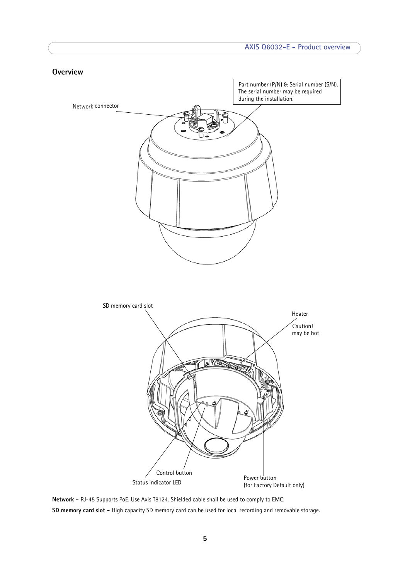<span id="page-4-1"></span><span id="page-4-0"></span>

**Network -** RJ-45 Supports PoE. Use Axis T8124. Shielded cable shall be used to comply to EMC. **SD memory card slot -** High capacity SD memory card can be used for local recording and removable storage.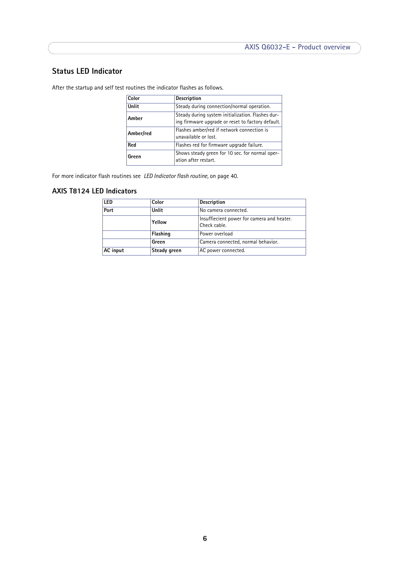# <span id="page-5-2"></span><span id="page-5-1"></span><span id="page-5-0"></span>**Status LED Indicator**

After the startup and self test routines the indicator flashes as follows.

| Color     | <b>Description</b>                                                                                     |
|-----------|--------------------------------------------------------------------------------------------------------|
| Unlit     | Steady during connection/normal operation.                                                             |
| Amber     | Steady during system initialization. Flashes dur-<br>ing firmware upgrade or reset to factory default. |
| Amber/red | Flashes amber/red if network connection is<br>unavailable or lost.                                     |
| Red       | Flashes red for firmware upgrade failure.                                                              |
| Green     | Shows steady green for 10 sec. for normal oper-<br>ation after restart.                                |

For more indicator flash routines see *[LED Indicator flash routine,](#page-39-2)* on page 40.

# **AXIS T8124 LED Indicators**

| LED      | Color                         | <b>Description</b>                                         |
|----------|-------------------------------|------------------------------------------------------------|
| Port     | Unlit<br>No camera connected. |                                                            |
|          | Yellow                        | Insuffiecient power for camera and heater.<br>Check cable. |
|          | Flashing<br>Power overload    |                                                            |
|          | Green                         | Camera connected, normal behavior.                         |
| AC input | Steady green                  | AC power connected.                                        |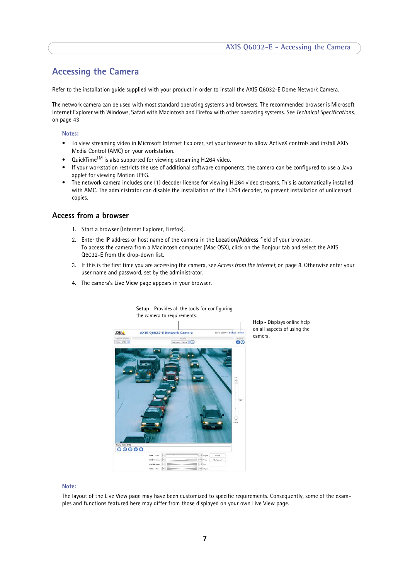# <span id="page-6-0"></span>**Accessing the Camera**

Refer to the installation guide supplied with your product in order to install the AXIS Q6032-E Dome Network Camera.

The network camera can be used with most standard operating systems and browsers. The recommended browser is Microsoft Internet Explorer with Windows, Safari with Macintosh and Firefox with other operating systems. See *[Technical Specifications,](#page-42-1)*  [on page 43](#page-42-1)

#### **Notes:**

- <span id="page-6-2"></span>• To view streaming video in Microsoft Internet Explorer, set your browser to allow ActiveX controls and install AXIS Media Control (AMC) on your workstation.
- $QuickTime<sup>TM</sup>$  is also supported for viewing streaming H.264 video.
- If your workstation restricts the use of additional software components, the camera can be configured to use a Java applet for viewing Motion JPEG.
- The network camera includes one (1) decoder license for viewing H.264 video streams. This is automatically installed with AMC. The administrator can disable the installation of the H.264 decoder, to prevent installation of unlicensed copies.

### <span id="page-6-1"></span>**Access from a browser**

- 1. Start a browser (Internet Explorer, Firefox).
- 2. Enter the IP address or host name of the camera in the **Location/Address** field of your browser. To access the camera from a Macintosh computer (Mac OSX), click on the Bonjour tab and select the AXIS Q6032-E from the drop-down list.
- 3. If this is the first time you are accessing the camera, see *[Access from the internet,](#page-7-1)* on page 8. Otherwise enter your user name and password, set by the administrator.
- 4. The camera's **Live View** page appears in your browser.

<span id="page-6-3"></span>

#### **Note:**

The layout of the Live View page may have been customized to specific requirements. Consequently, some of the examples and functions featured here may differ from those displayed on your own Live View page.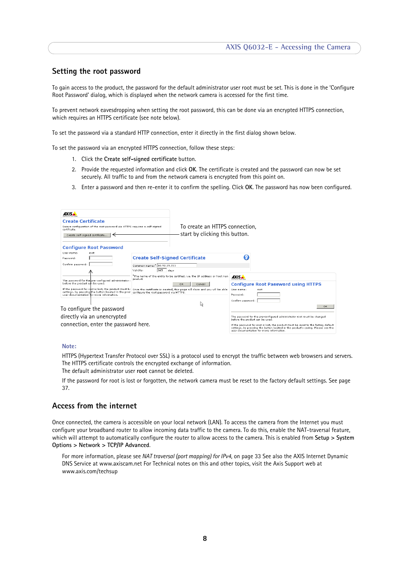# <span id="page-7-0"></span>**Setting the root password**

To gain access to the product, the password for the default administrator user root must be set. This is done in the 'Configure Root Password' dialog, which is displayed when the network camera is accessed for the first time.

To prevent network eavesdropping when setting the root password, this can be done via an encrypted HTTPS connection, which requires an HTTPS certificate (see note below).

To set the password via a standard HTTP connection, enter it directly in the first dialog shown below.

To set the password via an encrypted HTTPS connection, follow these steps:

- <span id="page-7-4"></span><span id="page-7-2"></span>1. Click the **Create self-signed certificate** button.
- 2. Provide the requested information and click **OK**. The certificate is created and the password can now be set securely. All traffic to and from the network camera is encrypted from this point on.
- 3. Enter a password and then re-enter it to confirm the spelling. Click **OK**. The password has now been configured.

| AXIS.<br><b>Create Certificate</b><br>Secure configuration of the root password via HTTPS requires a self-signed<br>certificate.<br>Create self-signed certificate<br><b>Configure Root Password</b>                                                           |                                                                                                    | To create an HTTPS connection.<br>start by clicking this button.                                                                                                              |                                                                                                                                                                                                                                                                                                                                                                          |
|----------------------------------------------------------------------------------------------------------------------------------------------------------------------------------------------------------------------------------------------------------------|----------------------------------------------------------------------------------------------------|-------------------------------------------------------------------------------------------------------------------------------------------------------------------------------|--------------------------------------------------------------------------------------------------------------------------------------------------------------------------------------------------------------------------------------------------------------------------------------------------------------------------------------------------------------------------|
| User name:<br>root<br>Password:<br>Confirm password:<br>The password for the ore-configured administrator<br>before the product can be used.<br>If the password for root is lost, the product must be<br>settings, by pressing the button located in the proc- | <b>Create Self-Signed Certificate</b><br>Common name: 10.92.25.211<br>Validity:<br>365<br>product. | davs<br>The name of the entity to be certified, i.e. the IP address or host nan<br>OK<br>Cancel<br>Once the certificate is created, this page will close and you will be able | AXIS A<br><b>Configure Root Password using HTTPS</b><br>User name:<br>root                                                                                                                                                                                                                                                                                               |
| user documentation for more information.<br>To configure the password<br>directly via an unencrypted<br>connection, enter the password here.                                                                                                                   | configure the root password via HTTPS.                                                             | R                                                                                                                                                                             | Password:<br>Confirm password:<br>OK.<br>The password for the pre-configured administrator root must be changed<br>before the product can be used.<br>If the password for root is lost, the product must be reset to the factory default<br>settings, by pressing the button located in the product's casing. Please see the<br>user documentation for more information. |

### **Note:**

HTTPS (Hypertext Transfer Protocol over SSL) is a protocol used to encrypt the traffic between web browsers and servers. The HTTPS certificate controls the encrypted exchange of information. The default administrator user **root** cannot be deleted.

If the password for root is lost or forgotten, the network camera must be reset to the factory default settings. See [page](#page-36-2)  [37](#page-36-2).

# <span id="page-7-1"></span>**Access from the internet**

Once connected, the camera is accessible on your local network (LAN). To access the camera from the Internet you must configure your broadband router to allow incoming data traffic to the camera. To do this, enable the NAT-traversal feature, which will attempt to automatically configure the router to allow access to the camera. This is enabled from **Setup > System Options > Network > TCP/IP Advanced**.

<span id="page-7-3"></span>For more information, please see *[NAT traversal \(port mapping\) for IPv4](#page-32-0)*, on page 33 See also the AXIS Internet Dynamic DNS Service at www.axiscam.net For Technical notes on this and other topics, visit the Axis Support web at www.axis.com/techsup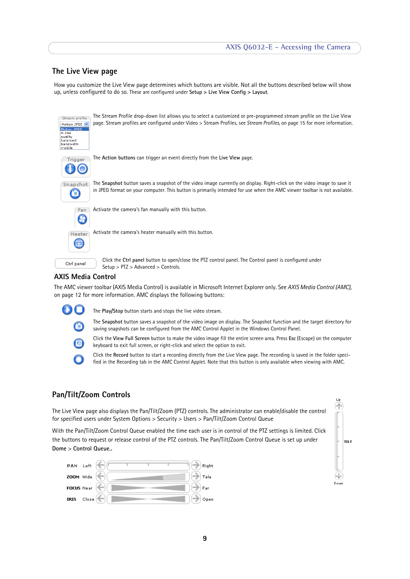# <span id="page-8-4"></span>**The Live View page**

How you customize the Live View page determines which buttons are visible. Not all the buttons described below will show up, unless configured to do so. These are configured under **Setup > Live View Config > Layout**.

<span id="page-8-0"></span>

| Stream profile<br>Motion JPEG V<br><b>Motion JPEG</b><br>H.264<br>quality<br>alanced<br>bandwidth<br>mobile | The Stream Profile drop-down list allows you to select a customized or pre-programmed stream profile on the Live View<br>page. Stream profiles are configured under Video > Stream Profiles, see Stream Profiles, on page 15 for more information.  |
|-------------------------------------------------------------------------------------------------------------|-----------------------------------------------------------------------------------------------------------------------------------------------------------------------------------------------------------------------------------------------------|
| Trigger                                                                                                     | The Action buttons can trigger an event directly from the Live View page.                                                                                                                                                                           |
| Snapshot                                                                                                    | The Snapshot button saves a snapshot of the video image currently on display. Right-click on the video image to save it<br>in JPEG format on your computer. This button is primarily intended for use when the AMC viewer toolbar is not available. |
| Fan                                                                                                         | Activate the camera's fan manually with this button.                                                                                                                                                                                                |
| Heater                                                                                                      | Activate the camera's heater manually with this button.                                                                                                                                                                                             |
| Ctrl panel                                                                                                  | Click the Ctrl panel button to open/close the PTZ control panel. The Control panel is configured under<br>Setup > PTZ > Advanced > Controls.                                                                                                        |
| VIC Modio Control                                                                                           |                                                                                                                                                                                                                                                     |

<span id="page-8-7"></span><span id="page-8-3"></span><span id="page-8-2"></span>

# **AXIS Media Control**

The AMC viewer toolbar (AXIS Media Control) is available in Microsoft Internet Explorer only. See *[AXIS Media Control \(AMC\),](#page-11-2)*  [on page 12](#page-11-2) for more information. AMC displays the following buttons:



<span id="page-8-6"></span><span id="page-8-1"></span>The **Play/Stop** button starts and stops the live video stream.

keyboard to exit full screen, or right-click and select the option to exit.

The **Snapshot** button saves a snapshot of the video image on display. The Snapshot function and the target directory for saving snapshots can be configured from the AMC Control Applet in the Windows Control Panel. Click the **View Full Screen** button to make the video image fill the entire screen area. Press **Esc** (Escape) on the computer



Click the **Record** button to start a recording directly from the Live View page. The recording is saved in the folder specified in the Recording tab in the AMC Control Applet. Note that this button is only available when viewing with AMC.

# <span id="page-8-5"></span>**Pan/Tilt/Zoom Controls**

The Live View page also displays the Pan/Tilt/Zoom (PTZ) controls. The administrator can enable/disable the control for specified users under System Options > Security > Users > Pan/Tilt/Zoom Control Queue

With the Pan/Tilt/Zoom Control Queue enabled the time each user is in control of the PTZ settings is limited. Click the buttons to request or release control of the PTZ controls. The Pan/Tilt/Zoom Control Queue is set up under **Dome** > **Control Queue**..





Up 伓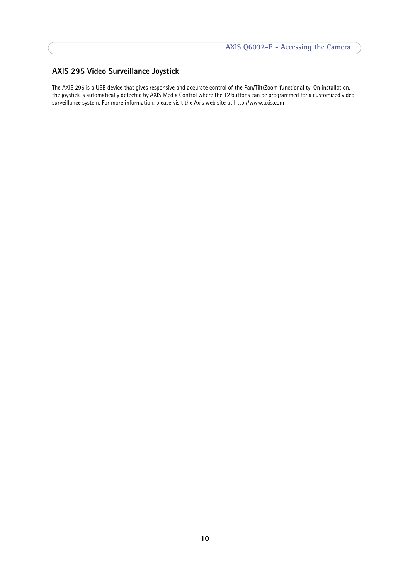# <span id="page-9-1"></span><span id="page-9-0"></span>**AXIS 295 Video Surveillance Joystick**

The AXIS 295 is a USB device that gives responsive and accurate control of the Pan/Tilt/Zoom functionality. On installation, the joystick is automatically detected by AXIS Media Control where the 12 buttons can be programmed for a customized video surveillance system. For more information, please visit the Axis web site at http://www.axis.com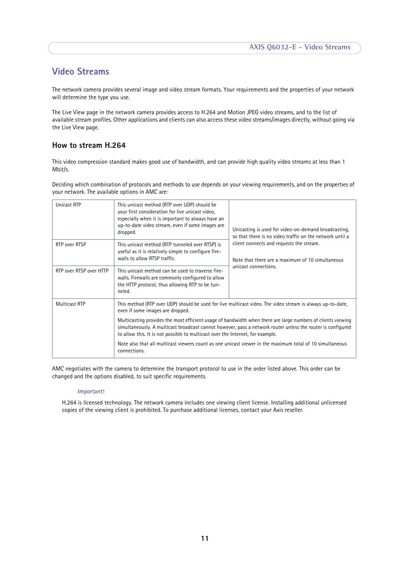# <span id="page-10-0"></span>**Video Streams**

The network camera provides several image and video stream formats. Your requirements and the properties of your network will determine the type you use.

The Live View page in the network camera provides access to H.264 and Motion JPEG video streams, and to the list of available stream profiles. Other applications and clients can also access these video streams/images directly, without going via the Live View page.

# <span id="page-10-1"></span>**How to stream H.264**

This video compression standard makes good use of bandwidth, and can provide high quality video streams at less than 1 Mbit/s.

Deciding which combination of protocols and methods to use depends on your viewing requirements, and on the properties of your network. The available options in AMC are:

| <b>Unicast RTP</b>      | This unicast method (RTP over UDP) should be<br>your first consideration for live unicast video.<br>especially when it is important to always have an<br>up-to-date video stream, even if some images are<br>dropped.                                                                                        | Unicasting is used for video-on-demand broadcasting,<br>so that there is no video traffic on the network until a |  |
|-------------------------|--------------------------------------------------------------------------------------------------------------------------------------------------------------------------------------------------------------------------------------------------------------------------------------------------------------|------------------------------------------------------------------------------------------------------------------|--|
| RTP over RTSP           | This unicast method (RTP tunneled over RTSP) is<br>useful as it is relatively simple to configure fire-<br>walls to allow RTSP traffic.                                                                                                                                                                      | client connects and requests the stream.<br>Note that there are a maximum of 10 simultaneous                     |  |
| RTP over RTSP over HTTP | This unicast method can be used to traverse fire-<br>walls. Firewalls are commonly configured to allow<br>the HTTP protocol, thus allowing RTP to be tun-<br>neled.                                                                                                                                          | unicast connections.                                                                                             |  |
| <b>Multicast RTP</b>    | This method (RTP over UDP) should be used for live multicast video. The video stream is always up-to-date,<br>even if some images are dropped.                                                                                                                                                               |                                                                                                                  |  |
|                         | Multicasting provides the most efficient usage of bandwidth when there are large numbers of clients viewing<br>simultaneously. A multicast broadcast cannot however, pass a network router unless the router is configured<br>to allow this. It is not possible to multicast over the Internet, for example. |                                                                                                                  |  |
|                         | Note also that all multicast viewers count as one unicast viewer in the maximum total of 10 simultaneous<br>connections.                                                                                                                                                                                     |                                                                                                                  |  |

AMC negotiates with the camera to determine the transport protocol to use in the order listed above. This order can be changed and the options disabled, to suit specific requirements.

#### **Important!**

H.264 is licensed technology. The network camera includes one viewing client license. Installing additional unlicensed copies of the viewing client is prohibited. To purchase additional licenses, contact your Axis reseller.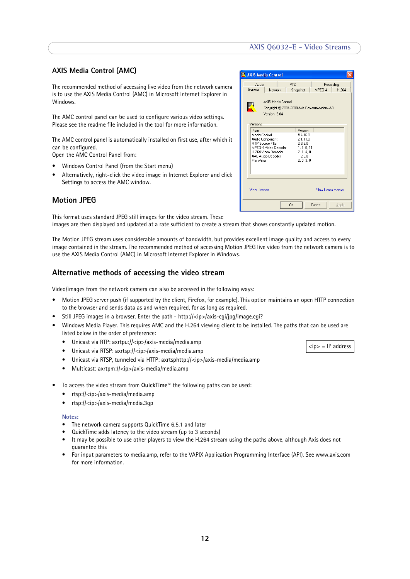# **AXIS Q6032-E - Video Streams**

### <span id="page-11-2"></span>**AXIS Media Control (AMC)**

The recommended method of accessing live video from the network camera is to use the AXIS Media Control (AMC) in Microsoft Internet Explorer in Windows.

The AMC control panel can be used to configure various video settings. Please see the readme file included in the tool for more information.

The AMC control panel is automatically installed on first use, after which it can be configured.

Open the AMC Control Panel from:

- Windows Control Panel (from the Start menu)
- Alternatively, right-click the video image in Internet Explorer and click **Settings** to access the AMC window.

## <span id="page-11-3"></span><span id="page-11-0"></span>**Motion JPEG**

This format uses standard JPEG still images for the video stream. These

images are then displayed and updated at a rate sufficient to create a stream that shows constantly updated motion.

The Motion JPEG stream uses considerable amounts of bandwidth, but provides excellent image quality and access to every image contained in the stream. The recommended method of accessing Motion JPEG live video from the network camera is to use the AXIS Media Control (AMC) in Microsoft Internet Explorer in Windows.

## <span id="page-11-1"></span>**Alternative methods of accessing the video stream**

Video/images from the network camera can also be accessed in the following ways:

- Motion JPEG server push (if supported by the client, Firefox, for example). This option maintains an open HTTP connection to the browser and sends data as and when required, for as long as required.
- Still JPEG images in a browser. Enter the path http://<ip>/axis-cgi/jpg/image.cgi?
- Windows Media Player. This requires AMC and the H.264 viewing client to be installed. The paths that can be used are listed below in the order of preference:
	- Unicast via RTP: axrtpu://<ip>/axis-media/media.amp
	- Unicast via RTSP: axrtsp://<ip>/axis-media/media.amp
	- Unicast via RTSP, tunneled via HTTP: axrtsphttp://<ip>/axis-media/media.amp
	- Multicast: axrtpm://<ip>/axis-media/media.amp
- To access the video stream from **QuickTime™** the following paths can be used:
	- rtsp://<ip>/axis-media/media.amp
	- $\bullet$  rtsp://<ip>/axis-media/media.3qp

#### **Notes:**

- The network camera supports QuickTime 6.5.1 and later
- QuickTime adds latency to the video stream (up to 3 seconds)
- It may be possible to use other players to view the H.264 stream using the paths above, although Axis does not guarantee this
- For input parameters to media.amp, refer to the VAPIX Application Programming Interface (API). See www.axis.com for more information.

|                     | <b>AXIS Media Control</b>                                                                                                        |                                                                                   |                     |       |
|---------------------|----------------------------------------------------------------------------------------------------------------------------------|-----------------------------------------------------------------------------------|---------------------|-------|
| Audio<br>General    | <b>Network</b>                                                                                                                   | <b>PTZ</b><br>Snapshot                                                            | Recording<br>MPEG-4 | H 264 |
| Versions            | AXIS Media Control<br>Copyright @ 2004-2008 Axis Communications AB<br>Version 5.04                                               |                                                                                   |                     |       |
| Item<br>File Writer | Media Control<br>Audio Component<br><b>RTP Source Filter</b><br>MPEG-4 Video Decoder<br>H.264 Video Decoder<br>AAC Audio Decoder | Version<br>5.4.16.0<br>21110<br>2.3.8.0<br>1.1.0.11<br>2.1.4.0<br>1220<br>2.0.3.0 |                     |       |
| View License        |                                                                                                                                  |                                                                                   | View Llser's Manual |       |
|                     |                                                                                                                                  | OK                                                                                | Cancel              | Apply |

 $<$ ip $>$  = IP address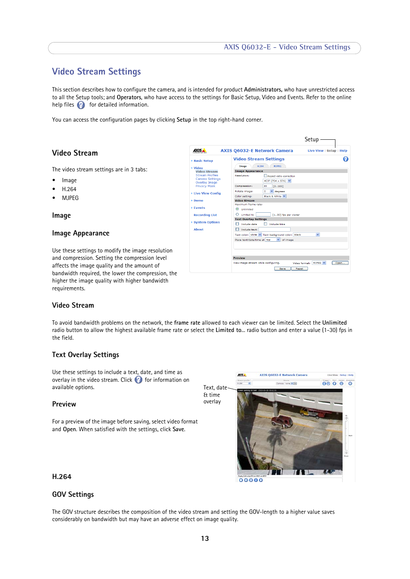# <span id="page-12-0"></span>**Video Stream Settings**

This section describes how to configure the camera, and is intended for product **Administrators,** who have unrestricted access to all the Setup tools; and **Operators**, who have access to the settings for Basic Setup, Video and Events. Refer to the online help files  $\bullet$  for detailed information.

You can access the configuration pages by clicking **Setup** in the top right-hand corner.

## <span id="page-12-1"></span>**Video Stream**

The video stream settings are in 3 tabs:

- Image
- <span id="page-12-7"></span><span id="page-12-6"></span>• H.264
- MJPEG

**Image**

### **Image Appearance**

Use these settings to modify the image resolution and compression. Setting the compression level affects the image quality and the amount of bandwidth required, the lower the compression, the higher the image quality with higher bandwidth requirements.

<span id="page-12-3"></span>

|                                                                          | Setup-                                                                                                                      |  |
|--------------------------------------------------------------------------|-----------------------------------------------------------------------------------------------------------------------------|--|
| <b>AXISA</b>                                                             | <b>AXIS Q6032-E Network Camera</b><br>Live View   Setup   Help                                                              |  |
| <b>Basic Setup</b>                                                       | <b>Video Stream Settings</b>                                                                                                |  |
| - Video                                                                  | H.264<br><b>MIPEG</b><br>Image                                                                                              |  |
| <b>Video Stream</b>                                                      | <b>Image Appearance</b>                                                                                                     |  |
| <b>Stream Profiles</b><br><b>Camera Settings</b><br><b>Overlay Image</b> | Resolution:<br>Aspect ratio correction<br>4CIF (704 $\times$ 576) $\times$                                                  |  |
| <b>Privacy Mask</b>                                                      | Compression:<br>30<br>[0100]                                                                                                |  |
| <b>Live View Config</b>                                                  | $\vee$ degrees<br>Rotate image:<br>$\circ$<br>Black & White V<br>Color setting:                                             |  |
| Dome                                                                     | <b>Video Stream</b>                                                                                                         |  |
| <b>Events</b><br><b>Recording List</b>                                   | Maximum frame rate:<br>$\circ$<br>Unlimited<br>Limited to<br>[130] fps per viewer                                           |  |
| System Options                                                           | <b>Text Overlay Settings</b><br>Include date<br>Include time                                                                |  |
| <b>About</b>                                                             | Include text:                                                                                                               |  |
|                                                                          | Text color: white V Text background color: black<br>$\checkmark$<br>Place text/date/time at top<br>of image<br>$\checkmark$ |  |
|                                                                          |                                                                                                                             |  |
|                                                                          |                                                                                                                             |  |
|                                                                          | <b>Preview</b>                                                                                                              |  |
|                                                                          | View image stream while configuring.<br>MJPEG V<br>Video format:<br>Open<br>Save<br>Reset                                   |  |

### <span id="page-12-8"></span>**Video Stream**

To avoid bandwidth problems on the network, the **frame rate** allowed to each viewer can be limited. Select the **Unlimited** radio button to allow the highest available frame rate or select the **Limited to**... radio button and enter a value (1-30) fps in the field.

### <span id="page-12-2"></span>**Text Overlay Settings**

Use these settings to include a text, date, and time as overlay in the video stream. Click  $\bullet$  for information on available options.

### **Preview**

For a preview of the image before saving, select video format and **Open**. When satisfied with the settings, click **Save**.

<span id="page-12-4"></span>

#### **H.264**

# <span id="page-12-5"></span>**GOV Settings**

The GOV structure describes the composition of the video stream and setting the GOV-length to a higher value saves considerably on bandwidth but may have an adverse effect on image quality.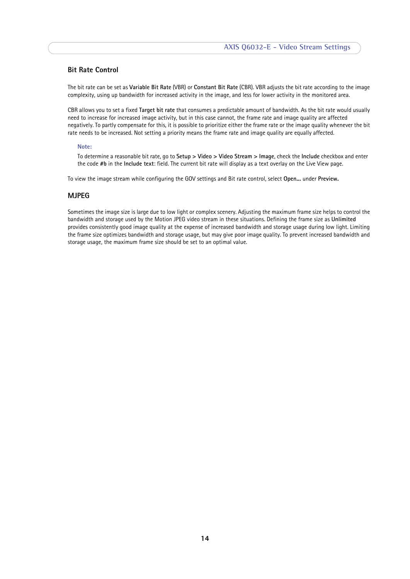## <span id="page-13-0"></span>**Bit Rate Control**

<span id="page-13-3"></span><span id="page-13-1"></span>The bit rate can be set as **Variable Bit Rate** (VBR) or **Constant Bit Rate** (CBR). VBR adjusts the bit rate according to the image complexity, using up bandwidth for increased activity in the image, and less for lower activity in the monitored area.

CBR allows you to set a fixed **Target bit rate** that consumes a predictable amount of bandwidth. As the bit rate would usually need to increase for increased image activity, but in this case cannot, the frame rate and image quality are affected negatively. To partly compensate for this, it is possible to prioritize either the frame rate or the image quality whenever the bit rate needs to be increased. Not setting a priority means the frame rate and image quality are equally affected.

#### **Note:**

To determine a reasonable bit rate, go to **Setup > Video > Video Stream > Image**, check the **Include** checkbox and enter the code **#b** in the **Include text**: field. The current bit rate will display as a text overlay on the Live View page.

To view the image stream while configuring the GOV settings and Bit rate control, select **Open...** under **Preview.**

### <span id="page-13-2"></span>**MJPEG**

Sometimes the image size is large due to low light or complex scenery. Adjusting the maximum frame size helps to control the bandwidth and storage used by the Motion JPEG video stream in these situations. Defining the frame size as **Unlimited** provides consistently good image quality at the expense of increased bandwidth and storage usage during low light. Limiting the frame size optimizes bandwidth and storage usage, but may give poor image quality. To prevent increased bandwidth and storage usage, the maximum frame size should be set to an optimal value.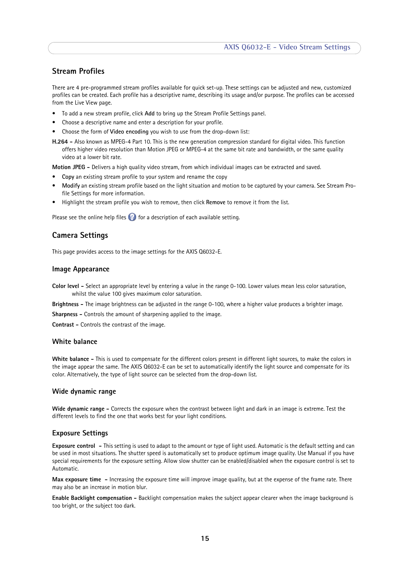# <span id="page-14-1"></span>**Stream Profiles**

There are 4 pre-programmed stream profiles available for quick set-up. These settings can be adjusted and new, customized profiles can be created. Each profile has a descriptive name, describing its usage and/or purpose. The profiles can be accessed from the Live View page.

- To add a new stream profile, click **Add** to bring up the Stream Profile Settings panel.
- Choose a descriptive name and enter a description for your profile.
- <span id="page-14-6"></span>• Choose the form of **Video encoding** you wish to use from the drop-down list:
- **H.264** Also known as MPEG-4 Part 10. This is the new generation compression standard for digital video. This function offers higher video resolution than Motion JPEG or MPEG-4 at the same bit rate and bandwidth, or the same quality video at a lower bit rate.

<span id="page-14-7"></span>**Motion JPEG -** Delivers a high quality video stream, from which individual images can be extracted and saved.

- **Copy** an existing stream profile to your system and rename the copy
- **Modify** an existing stream profile based on the light situation and motion to be captured by your camera. See Stream Profile Settings for more information.
- Highlight the stream profile you wish to remove, then click **Remove** to remove it from the list.

Please see the online help files  $\bullet$  for a description of each available setting.

# <span id="page-14-0"></span>**Camera Settings**

This page provides access to the image settings for the AXIS Q6032-E.

### **Image Appearance**

- <span id="page-14-3"></span>**Color level -** Select an appropriate level by entering a value in the range 0-100. Lower values mean less color saturation, whilst the value 100 gives maximum color saturation.
- <span id="page-14-8"></span><span id="page-14-2"></span>**Brightness -** The image brightness can be adjusted in the range 0-100, where a higher value produces a brighter image.
- <span id="page-14-4"></span>**Sharpness -** Controls the amount of sharpening applied to the image.

**Contrast -** Controls the contrast of the image.

### <span id="page-14-9"></span>**White balance**

**White balance -** This is used to compensate for the different colors present in different light sources, to make the colors in the image appear the same. The AXIS Q6032-E can be set to automatically identify the light source and compensate for its color. Alternatively, the type of light source can be selected from the drop-down list.

#### <span id="page-14-10"></span>**Wide dynamic range**

**Wide dynamic range -** Corrects the exposure when the contrast between light and dark in an image is extreme. Test the different levels to find the one that works best for your light conditions.

#### <span id="page-14-5"></span>**Exposure Settings**

**Exposure control -** This setting is used to adapt to the amount or type of light used. Automatic is the default setting and can be used in most situations. The shutter speed is automatically set to produce optimum image quality. Use Manual if you have special requirements for the exposure setting. Allow slow shutter can be enabled/disabled when the exposure control is set to Automatic.

**Max exposure time -** Increasing the exposure time will improve image quality, but at the expense of the frame rate. There may also be an increase in motion blur.

**Enable Backlight compensation -** Backlight compensation makes the subject appear clearer when the image background is too bright, or the subject too dark.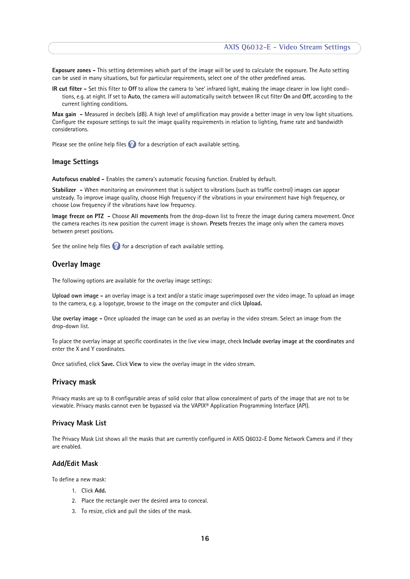**Exposure zones -** This setting determines which part of the image will be used to calculate the exposure. The Auto setting can be used in many situations, but for particular requirements, select one of the other predefined areas.

<span id="page-15-3"></span>**IR cut filter -** Set this filter to **Off** to allow the camera to 'see' infrared light, making the image clearer in low light conditions, e.g. at night. If set to **Auto**, the camera will automatically switch between IR cut filter **On** and **Off**, according to the current lighting conditions.

**Max gain -** Measured in decibels (dB). A high level of amplification may provide a better image in very low light situations. Configure the exposure settings to suit the image quality requirements in relation to lighting, frame rate and bandwidth considerations.

Please see the online help files  $\bullet$  for a description of each available setting.

### **Image Settings**

<span id="page-15-5"></span>**Autofocus enabled -** Enables the camera's automatic focusing function. Enabled by default.

**Stabilizer -** When monitoring an environment that is subject to vibrations (such as traffic control) images can appear unsteady. To improve image quality, choose High frequency if the vibrations in your environment have high frequency, or choose Low frequency if the vibrations have low frequency.

<span id="page-15-2"></span>**Image freeze on PTZ -** Choose **All movements** from the drop-down list to freeze the image during camera movement. Once the camera reaches its new position the current image is shown. **Presets** freezes the image only when the camera moves between preset positions.

See the online help files  $\bullet$  for a description of each available setting.

### <span id="page-15-0"></span>**Overlay Image**

The following options are available for the overlay image settings:

**Upload own image -** an overlay image is a text and/or a static image superimposed over the video image. To upload an image to the camera, e.g. a logotype, browse to the image on the computer and click **Upload.** 

**Use overlay image -** Once uploaded the image can be used as an overlay in the video stream. Select an image from the drop-down list.

To place the overlay image at specific coordinates in the live view image, check **Include overlay image at the coordinates** and enter the X and Y coordinates.

Once satisfied, click **Save.** Click **View** to view the overlay image in the video stream.

#### <span id="page-15-1"></span>**Privacy mask**

Privacy masks are up to 8 configurable areas of solid color that allow concealment of parts of the image that are not to be viewable. Privacy masks cannot even be bypassed via the VAPIX® Application Programming Interface (API).

#### <span id="page-15-4"></span>**Privacy Mask List**

The Privacy Mask List shows all the masks that are currently configured in AXIS Q6032-E Dome Network Camera and if they are enabled.

### **Add/Edit Mask**

To define a new mask:

- 1. Click **Add.**
- 2. Place the rectangle over the desired area to conceal.
- 3. To resize, click and pull the sides of the mask.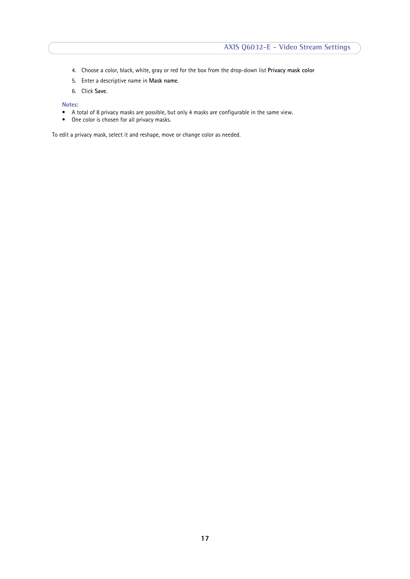- 4. Choose a color, black, white, gray or red for the box from the drop-down list **Privacy mask color**
- 5. Enter a descriptive name in **Mask name**.
- 6. Click **Save**.

**Notes:**

- A total of 8 privacy masks are possible, but only 4 masks are configurable in the same view.
- One color is chosen for all privacy masks.

To edit a privacy mask, select it and reshape, move or change color as needed.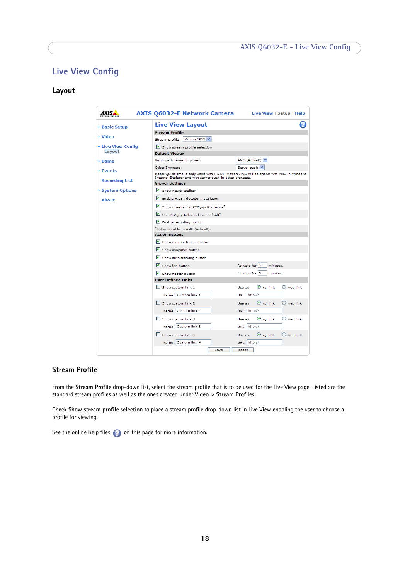# **AXIS Q6032-E - Live View Config**

# <span id="page-17-2"></span><span id="page-17-0"></span>**Live View Config**

# <span id="page-17-1"></span>**Layout**

| AXIS.                     | AXIS Q6032-E Network Camera                                                                                                                         | Live View $\vert$ Setup $\vert$ Help               |
|---------------------------|-----------------------------------------------------------------------------------------------------------------------------------------------------|----------------------------------------------------|
| ▶ Basic Setup             | <b>Live View Layout</b>                                                                                                                             |                                                    |
|                           | <b>Stream Profile</b>                                                                                                                               |                                                    |
| ▶ Video                   | Stream profile:   Motion JPEG V                                                                                                                     |                                                    |
| <b>v</b> Live View Config | Show stream profile selection                                                                                                                       |                                                    |
| Layout                    | <b>Default Viewer</b>                                                                                                                               |                                                    |
| ▶ Dome                    | Windows Internet Explorer:                                                                                                                          | AMC (ActiveX) $\vee$                               |
| ▶ Events                  | Other Browsers:                                                                                                                                     | Server push V                                      |
|                           | Note: QuickTime is only used with H.264. Motion JPEG will be shown with AMC in Windows<br>Internet Explorer and with server push in other browsers. |                                                    |
| <b>Recording List</b>     | <b>Viewer Settings</b>                                                                                                                              |                                                    |
| ▶ System Options          | Show viewer toolbar                                                                                                                                 |                                                    |
| <b>About</b>              | Enable H.264 decoder installation                                                                                                                   |                                                    |
|                           | Show crosshair in PTZ joystick mode <sup>*</sup>                                                                                                    |                                                    |
|                           | Use PTZ joystick mode as default*                                                                                                                   |                                                    |
|                           | Enable recording button                                                                                                                             |                                                    |
|                           | "Not applicable to AMC (ActiveX).                                                                                                                   |                                                    |
|                           | <b>Action Buttons</b>                                                                                                                               |                                                    |
|                           | Show manual trigger button                                                                                                                          |                                                    |
|                           | Show snapshot button                                                                                                                                |                                                    |
|                           | Show auto tracking button                                                                                                                           |                                                    |
|                           | Show fan button                                                                                                                                     | Activate for 5<br>minutes.                         |
|                           | IV Show heater button                                                                                                                               | Activate for 5<br>minutes.                         |
|                           | <b>User Defined Links</b>                                                                                                                           |                                                    |
|                           | Show custom link 1                                                                                                                                  | $\odot$ cgi link<br>$\bigcirc$ web link<br>Use as: |
|                           | Name: Custom link 1                                                                                                                                 | URL: http://                                       |
|                           | Show custom link 2                                                                                                                                  | $\odot$ cgi link<br>$\bigcirc$ web link<br>Use as: |
|                           | Name: Custom link 2                                                                                                                                 | URL: http://                                       |
|                           | Show custom link 3                                                                                                                                  | $\bigcirc$ web link<br>$\odot$ cai link<br>Use as: |
|                           | Name: Custom link 3                                                                                                                                 | URL: http://                                       |
|                           | Show custom link 4                                                                                                                                  | $\odot$ cgi link<br>$\bigcirc$ web link<br>Use as: |
|                           | Name: Custom link 4                                                                                                                                 | URL: http://                                       |
|                           | Save                                                                                                                                                | Reset                                              |

# **Stream Profile**

From the **Stream Profile** drop-down list, select the stream profile that is to be used for the Live View page. Listed are the standard stream profiles as well as the ones created under **Video > Stream Profiles**.

Check **Show stream profile selection** to place a stream profile drop-down list in Live View enabling the user to choose a profile for viewing.

See the online help files  $\bullet$  on this page for more information.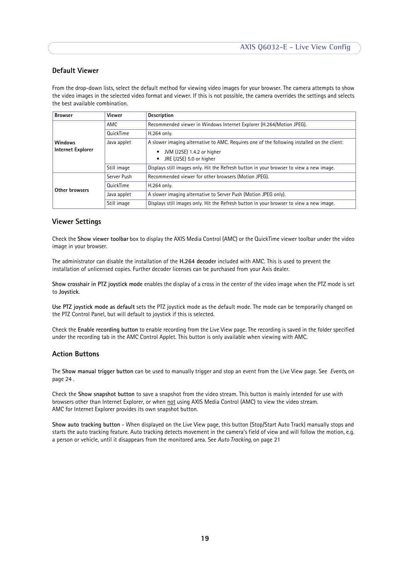# <span id="page-18-1"></span>**Default Viewer**

From the drop-down lists, select the default method for viewing video images for your browser. The camera attempts to show the video images in the selected video format and viewer. If this is not possible, the camera overrides the settings and selects the best available combination.

<span id="page-18-2"></span>

| <b>Browser</b>    | Viewer           | <b>Description</b>                                                                          |
|-------------------|------------------|---------------------------------------------------------------------------------------------|
|                   | AMC              | Recommended viewer in Windows Internet Explorer (H.264/Motion JPEG).                        |
|                   | <b>OuickTime</b> | H.264 only.                                                                                 |
| <b>Windows</b>    | Java applet      | A slower imaging alternative to AMC. Requires one of the following installed on the client: |
| Internet Explorer |                  | JVM (J2SE) 1.4.2 or higher<br>JRE (J2SE) 5.0 or higher                                      |
|                   | Still image      | Displays still images only. Hit the Refresh button in your browser to view a new image.     |
|                   | Server Push      | Recommended viewer for other browsers (Motion JPEG).                                        |
| Other browsers    | <b>OuickTime</b> | H.264 only.                                                                                 |
|                   | Java applet      | A slower imaging alternative to Server Push (Motion JPEG only).                             |
|                   | Still image      | Displays still images only. Hit the Refresh button in your browser to view a new image.     |

# **Viewer Settings**

Check the **Show viewer toolbar** box to display the AXIS Media Control (AMC) or the QuickTime viewer toolbar under the video image in your browser.

The administrator can disable the installation of the **H.264 decoder** included with AMC. This is used to prevent the installation of unlicensed copies. Further decoder licenses can be purchased from your Axis dealer.

**Show crosshair in PTZ joystick mode** enables the display of a cross in the center of the video image when the PTZ mode is set to **Joystick**.

**Use PTZ joystick mode as default** sets the PTZ joystick mode as the default mode. The mode can be temporarily changed on the PTZ Control Panel, but will default to joystick if this is selected.

Check the **Enable recording button** to enable recording from the Live View page. The recording is saved in the folder specified under the recording tab in the AMC Control Applet. This button is only available when viewing with AMC.

### **Action Buttons**

The **Show manual trigger button** can be used to manually trigger and stop an event from the Live View page. See *[Events,](#page-23-3)* on [page 24](#page-23-3) .

<span id="page-18-0"></span>Check the **Show snapshot button** to save a snapshot from the video stream. This button is mainly intended for use with browsers other than Internet Explorer, or when not using AXIS Media Control (AMC) to view the video stream. AMC for Internet Explorer provides its own snapshot button.

**Show auto tracking button** - When displayed on the Live View page, this button (Stop/Start Auto Track) manually stops and starts the auto tracking feature. Auto tracking detects movement in the camera's field of view and will follow the motion, e.g. a person or vehicle, until it disappears from the monitored area. See *[Auto Tracking,](#page-20-2)* on page 21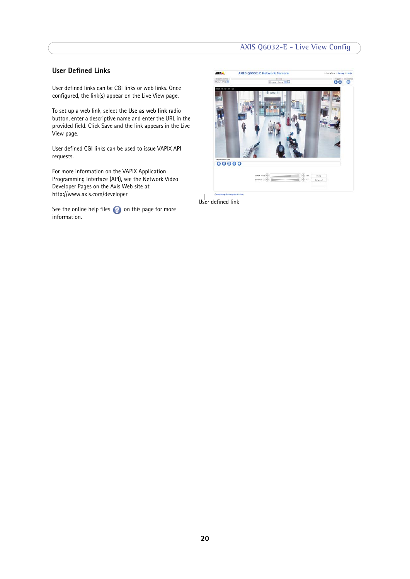# **AXIS Q6032-E - Live View Config**

# **User Defined Links**

User defined links can be CGI links or web links. Once configured, the link(s) appear on the Live View page.

To set up a web link, select the **Use as web link** radio button, enter a descriptive name and enter the URL in the provided field. Click Save and the link appears in the Live View page.

User defined CGI links can be used to issue VAPIX API requests.

For more information on the VAPIX Application Programming Interface (API), see the Network Video Developer Pages on the Axis Web site at http://www.axis.com/developer

See the online help files  $\bullet$  on this page for more information.



User defined link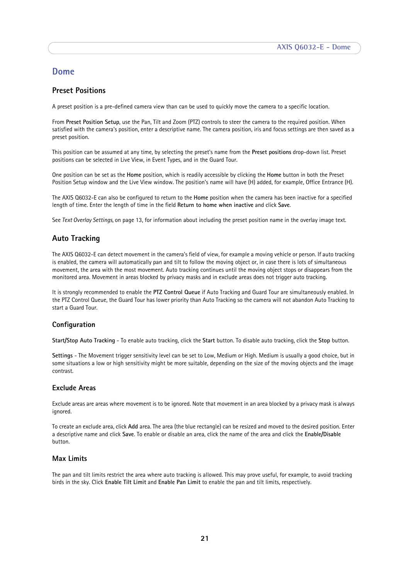# <span id="page-20-0"></span>**Dome**

# <span id="page-20-1"></span>**Preset Positions**

A preset position is a pre-defined camera view than can be used to quickly move the camera to a specific location.

From **Preset Position Setup**, use the Pan, Tilt and Zoom (PTZ) controls to steer the camera to the required position. When satisfied with the camera's position, enter a descriptive name. The camera position, iris and focus settings are then saved as a preset position.

This position can be assumed at any time, by selecting the preset's name from the **Preset positions** drop-down list. Preset positions can be selected in Live View, in Event Types, and in the Guard Tour.

One position can be set as the **Home** position, which is readily accessible by clicking the **Home** button in both the Preset Position Setup window and the Live View window. The position's name will have (H) added, for example, Office Entrance (H).

The AXIS Q6032-E can also be configured to return to the **Home** position when the camera has been inactive for a specified length of time. Enter the length of time in the field **Return to home when inactive** and click **Save**.

See *[Text Overlay Settings,](#page-12-2)* on page 13, for information about including the preset position name in the overlay image text.

# <span id="page-20-2"></span>**Auto Tracking**

The AXIS Q6032-E can detect movement in the camera's field of view, for example a moving vehicle or person. If auto tracking is enabled, the camera will automatically pan and tilt to follow the moving object or, in case there is lots of simultaneous movement, the area with the most movement. Auto tracking continues until the moving object stops or disappears from the monitored area. Movement in areas blocked by privacy masks and in exclude areas does not trigger auto tracking.

It is strongly recommended to enable the **PTZ Control Queue** if Auto Tracking and Guard Tour are simultaneously enabled. In the PTZ Control Queue, the Guard Tour has lower priority than Auto Tracking so the camera will not abandon Auto Tracking to start a Guard Tour.

### **Configuration**

**Start/Stop Auto Tracking** - To enable auto tracking, click the **Start** button. To disable auto tracking, click the **Stop** button.

**Settings** - The Movement trigger sensitivity level can be set to Low, Medium or High. Medium is usually a good choice, but in some situations a low or high sensitivity might be more suitable, depending on the size of the moving objects and the image contrast.

### **Exclude Areas**

Exclude areas are areas where movement is to be ignored. Note that movement in an area blocked by a privacy mask is always ignored.

To create an exclude area, click **Add** area. The area (the blue rectangle) can be resized and moved to the desired position. Enter a descriptive name and click **Save**. To enable or disable an area, click the name of the area and click the **Enable/Disable** button.

### **Max Limits**

The pan and tilt limits restrict the area where auto tracking is allowed. This may prove useful, for example, to avoid tracking birds in the sky. Click **Enable Tilt Limit** and **Enable Pan Limit** to enable the pan and tilt limits, respectively.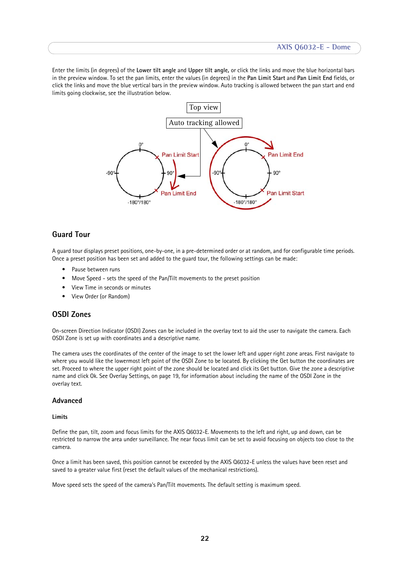Enter the limits (in degrees) of the **Lower tilt angle** and **Upper tilt angle,** or click the links and move the blue horizontal bars in the preview window. To set the pan limits, enter the values (in degrees) in the **Pan Limit Start** and **Pan Limit End** fields, or click the links and move the blue vertical bars in the preview window. Auto tracking is allowed between the pan start and end limits going clockwise, see the illustration below.



# <span id="page-21-0"></span>**Guard Tour**

A guard tour displays preset positions, one-by-one, in a pre-determined order or at random, and for configurable time periods. Once a preset position has been set and added to the guard tour, the following settings can be made:

- Pause between runs
- Move Speed sets the speed of the Pan/Tilt movements to the preset position
- View Time in seconds or minutes
- View Order (or Random)

# <span id="page-21-2"></span><span id="page-21-1"></span>**OSDI Zones**

On-screen Direction Indicator (OSDI) Zones can be included in the overlay text to aid the user to navigate the camera. Each OSDI Zone is set up with coordinates and a descriptive name.

The camera uses the coordinates of the center of the image to set the lower left and upper right zone areas. First navigate to where you would like the lowermost left point of the OSDI Zone to be located. By clicking the Get button the coordinates are set. Proceed to where the upper right point of the zone should be located and click its Get button. Give the zone a descriptive name and click Ok. See Overlay Settings, on page 19, for information about including the name of the OSDI Zone in the overlay text.

### **Advanced**

#### **Limits**

Define the pan, tilt, zoom and focus limits for the AXIS Q6032-E. Movements to the left and right, up and down, can be restricted to narrow the area under surveillance. The near focus limit can be set to avoid focusing on objects too close to the camera.

Once a limit has been saved, this position cannot be exceeded by the AXIS Q6032-E unless the values have been reset and saved to a greater value first (reset the default values of the mechanical restrictions).

Move speed sets the speed of the camera's Pan/Tilt movements. The default setting is maximum speed.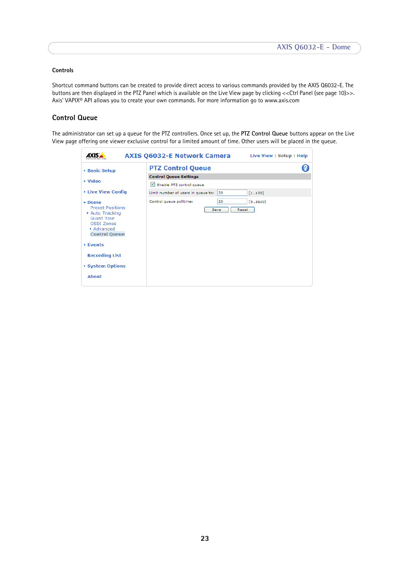### **Controls**

Shortcut command buttons can be created to provide direct access to various commands provided by the AXIS Q6032-E. The buttons are then displayed in the PTZ Panel which is available on the Live View page by clicking << Ctrl Panel (see page 10)>>. Axis' VAPIX® API allows you to create your own commands. For more information go to www.axis.com

# **Control Queue**

The administrator can set up a queue for the PTZ controllers. Once set up, the **PTZ Control Queue** buttons appear on the Live View page offering one viewer exclusive control for a limited amount of time. Other users will be placed in the queue.

|                                                                                                                                        | <b>AXIS Q6032-E Network Camera</b>       | Live View   Setup   Help |
|----------------------------------------------------------------------------------------------------------------------------------------|------------------------------------------|--------------------------|
| <b>Basic Setup</b>                                                                                                                     | <b>PTZ Control Queue</b>                 |                          |
|                                                                                                                                        | <b>Control Queue Settings</b>            |                          |
| ▶ Video                                                                                                                                | Enable PTZ control queue                 |                          |
| ▶ Live View Config                                                                                                                     | Limit number of users in queue to:<br>20 | [1100]                   |
| $\star$ Dome<br><b>Preset Positions</b><br>Auto Tracking<br><b>Guard Tour</b><br><b>OSDI Zones</b><br>Advanced<br><b>Control Queue</b> | 20<br>Control queue politime:<br>Save    | [53600]<br>Reset         |
| $\triangleright$ Events                                                                                                                |                                          |                          |
| <b>Recording List</b>                                                                                                                  |                                          |                          |
| System Options                                                                                                                         |                                          |                          |
| <b>About</b>                                                                                                                           |                                          |                          |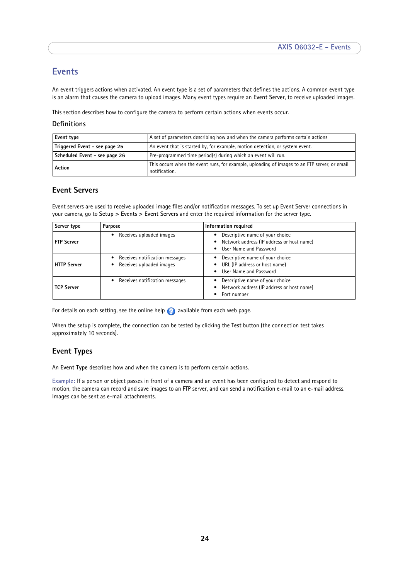# <span id="page-23-3"></span><span id="page-23-0"></span>**Events**

An event triggers actions when activated. An event type is a set of parameters that defines the actions. A common event type is an alarm that causes the camera to upload images. Many event types require an **Event Server**, to receive uploaded images.

This section describes how to configure the camera to perform certain actions when events occur.

### **Definitions**

<span id="page-23-11"></span><span id="page-23-9"></span>

| Event type                    | A set of parameters describing how and when the camera performs certain actions                               |
|-------------------------------|---------------------------------------------------------------------------------------------------------------|
| Triggered Event - see page 25 | An event that is started by, for example, motion detection, or system event.                                  |
| Scheduled Event - see page 26 | Pre-programmed time period(s) during which an event will run.                                                 |
| Action                        | This occurs when the event runs, for example, uploading of images to an FTP server, or email<br>notification. |

# <span id="page-23-5"></span><span id="page-23-4"></span><span id="page-23-1"></span>**Event Servers**

Event servers are used to receive uploaded image files and/or notification messages. To set up Event Server connections in your camera, go to **Setup > Events > Event Servers** and enter the required information for the server type.

<span id="page-23-8"></span><span id="page-23-7"></span>

| Server type        | Purpose                                                    | Information required                                                                                    |
|--------------------|------------------------------------------------------------|---------------------------------------------------------------------------------------------------------|
| <b>FTP Server</b>  | Receives uploaded images                                   | Descriptive name of your choice<br>Network address (IP address or host name)<br>User Name and Password  |
| <b>HTTP Server</b> | Receives notification messages<br>Receives uploaded images | Descriptive name of your choice<br>URL (IP address or host name)<br>User Name and Password<br>$\bullet$ |
| <b>TCP Server</b>  | Receives notification messages<br>٠                        | Descriptive name of your choice<br>Network address (IP address or host name)<br>Port number             |

<span id="page-23-10"></span>For details on each setting, see the online help  $\bullet$  available from each web page.

When the setup is complete, the connection can be tested by clicking the **Test** button (the connection test takes approximately 10 seconds).

# <span id="page-23-6"></span><span id="page-23-2"></span>**Event Types**

An **Event Type** describes how and when the camera is to perform certain actions.

**Example:** If a person or object passes in front of a camera and an event has been configured to detect and respond to motion, the camera can record and save images to an FTP server, and can send a notification e-mail to an e-mail address. Images can be sent as e-mail attachments.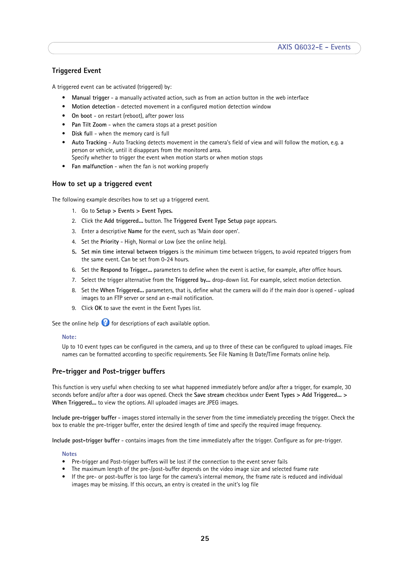# <span id="page-24-0"></span>**Triggered Event**

A triggered event can be activated (triggered) by:

- <span id="page-24-7"></span>• **Manual trigger** - a manually activated action, such as from an action button in the web interface
- **Motion detection** detected movement in a configured motion detection window
- <span id="page-24-8"></span>• **On boot** - on restart (reboot), after power loss
- <span id="page-24-5"></span>• **Pan Tilt Zoom** - when the camera stops at a preset position
- <span id="page-24-2"></span>• **Disk full** - when the memory card is full
- **Auto Tracking** Auto Tracking detects movement in the camera's field of view and will follow the motion, e.g. a person or vehicle, until it disappears from the monitored area.
- <span id="page-24-6"></span>Specify whether to trigger the event when motion starts or when motion stops
- **Fan malfunction** when the fan is not working properly

### <span id="page-24-1"></span>**How to set up a triggered event**

The following example describes how to set up a triggered event.

- 1. Go to **Setup > Events > Event Types.**
- 2. Click the **Add triggered...** button. The **Triggered Event Type Setup** page appears.
- 3. Enter a descriptive **Name** for the event, such as 'Main door open'.
- 4. Set the **Priority** High, Normal or Low (see the online help).
- **5. Set min time interval between triggers** is the minimum time between triggers, to avoid repeated triggers from the same event. Can be set from 0-24 hours.
- 6. Set the **Respond to Trigger...** parameters to define when the event is active, for example, after office hours.
- 7. Select the trigger alternative from the **Triggered by...** drop-down list. For example, select motion detection.
- 8. Set the **When Triggered...** parameters, that is, define what the camera will do if the main door is opened upload images to an FTP server or send an e-mail notification.
- 9. Click **OK** to save the event in the Event Types list.

See the online help  $\bigcirc$  for descriptions of each available option.

#### **Note:**

<span id="page-24-9"></span><span id="page-24-4"></span>Up to 10 event types can be configured in the camera, and up to three of these can be configured to upload images. File names can be formatted according to specific requirements. See File Naming & Date/Time Formats online help.

### <span id="page-24-10"></span>**Pre-trigger and Post-trigger buffers**

This function is very useful when checking to see what happened immediately before and/or after a trigger, for example, 30 seconds before and/or after a door was opened. Check the **Save stream** checkbox under **Event Types > Add Triggered... > When Triggered...** to view the options. All uploaded images are JPEG images.

<span id="page-24-3"></span>**Include pre-trigger buffer** - images stored internally in the server from the time immediately preceding the trigger. Check the box to enable the pre-trigger buffer, enter the desired length of time and specify the required image frequency.

**Include post-trigger buffer** - contains images from the time immediately after the trigger. Configure as for pre-trigger.

#### **Notes**

- Pre-trigger and Post-trigger buffers will be lost if the connection to the event server fails
- The maximum length of the pre-/post-buffer depends on the video image size and selected frame rate
- If the pre- or post-buffer is too large for the camera's internal memory, the frame rate is reduced and individual images may be missing. If this occurs, an entry is created in the unit's log file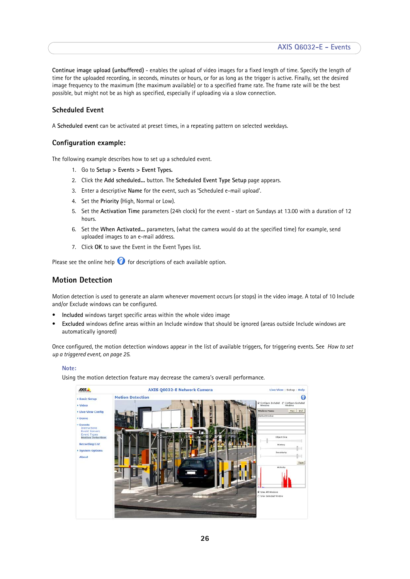**Continue image upload (unbuffered)** - enables the upload of video images for a fixed length of time. Specify the length of time for the uploaded recording, in seconds, minutes or hours, or for as long as the trigger is active. Finally, set the desired image frequency to the maximum (the maximum available) or to a specified frame rate. The frame rate will be the best possible, but might not be as high as specified, especially if uploading via a slow connection.

# <span id="page-25-4"></span><span id="page-25-1"></span>**Scheduled Event**

A **Scheduled event** can be activated at preset times, in a repeating pattern on selected weekdays.

## **Configuration example:**

The following example describes how to set up a scheduled event.

- 1. Go to **Setup > Events > Event Types.**
- 2. Click the **Add scheduled...** button. The **Scheduled Event Type Setup** page appears.
- 3. Enter a descriptive **Name** for the event, such as 'Scheduled e-mail upload'.
- 4. Set the **Priority** (High, Normal or Low).
- 5. Set the **Activation Time** parameters (24h clock) for the event start on Sundays at 13.00 with a duration of 12 hours.
- 6. Set the **When Activated...** parameters, (what the camera would do at the specified time) for example, send uploaded images to an e-mail address.
- <span id="page-25-2"></span>7. Click **OK** to save the Event in the Event Types list.

Please see the online help  $\bullet$  for descriptions of each available option.

# <span id="page-25-3"></span><span id="page-25-0"></span>**Motion Detection**

Motion detection is used to generate an alarm whenever movement occurs (or stops) in the video image. A total of 10 Include and/or Exclude windows can be configured.

- **Included** windows target specific areas within the whole video image
- **Excluded** windows define areas within an Include window that should be ignored (areas outside Include windows are automatically ignored)

Once configured, the motion detection windows appear in the list of available triggers, for triggering events. See *[How to set](#page-24-1)  [up a triggered event, on page 25](#page-24-1)*.

#### **Note:**

Using the motion detection feature may decrease the camera's overall performance.

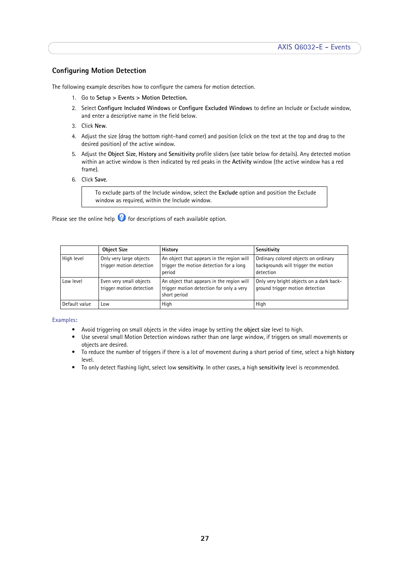# **Configuring Motion Detection**

The following example describes how to configure the camera for motion detection.

- 1. Go to **Setup > Events > Motion Detection.**
- 2. Select **Configure Included Windows** or **Configure Excluded Windows** to define an Include or Exclude window, and enter a descriptive name in the field below.
- 3. Click **New**.
- 4. Adjust the size (drag the bottom right-hand corner) and position (click on the text at the top and drag to the desired position) of the active window.
- 5. Adjust the **Object Size**, **History** and **Sensitivity** profile sliders (see table below for details). Any detected motion within an active window is then indicated by red peaks in the **Activity** window (the active window has a red frame).
- 6. Click **Save**.

To exclude parts of the Include window, select the **Exclude** option and position the Exclude window as required, within the Include window.

Please see the online help  $\bullet$  for descriptions of each available option.

|               | <b>Object Size</b>                                  | History                                                                                               | Sensitivity                                                                              |
|---------------|-----------------------------------------------------|-------------------------------------------------------------------------------------------------------|------------------------------------------------------------------------------------------|
| High level    | Only very large objects<br>trigger motion detection | An object that appears in the region will<br>trigger the motion detection for a long<br>period        | Ordinary colored objects on ordinary<br>backgrounds will trigger the motion<br>detection |
| Low level     | Even very small objects<br>trigger motion detection | An object that appears in the region will<br>trigger motion detection for only a very<br>short period | Only very bright objects on a dark back-<br>ground trigger motion detection              |
| Default value | Low                                                 | High                                                                                                  | High                                                                                     |

#### **Examples:**

- Avoid triggering on small objects in the video image by setting the **object size** level to high.
- Use several small Motion Detection windows rather than one large window, if triggers on small movements or objects are desired.
- To reduce the number of triggers if there is a lot of movement during a short period of time, select a high **history** level.
- To only detect flashing light, select low **sensitivity**. In other cases, a high **sensitivity** level is recommended.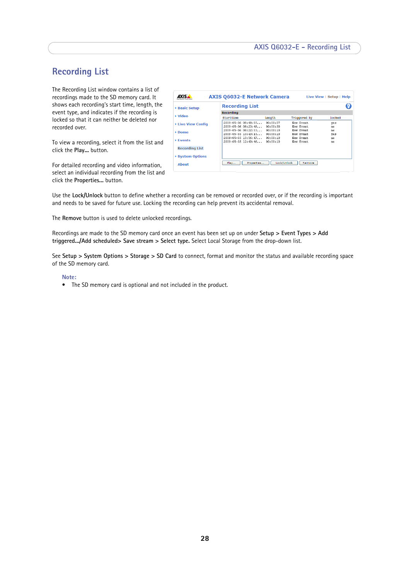# <span id="page-27-1"></span><span id="page-27-0"></span>**Recording List**

<span id="page-27-2"></span>The Recording List window contains a list of recordings made to the SD memory card. It shows each recording's start time, length, the event type, and indicates if the recording is locked so that it can neither be deleted nor recorded over.

To view a recording, select it from the list and click the **Play...** button.

For detailed recording and video information, select an individual recording from the list and click the **Properties...** button.

| ▶ Basic Setup         | <b>Recording List</b> |             |              |        |
|-----------------------|-----------------------|-------------|--------------|--------|
|                       | <b>Recording</b>      |             |              |        |
| <b>▶ Video</b>        | Starttime             | Length      | Triggered by | locked |
| ▶ Live View Config    | 2009-05-06 08:48:05   | 00:00:37    | New Event.   | ves    |
|                       | 2009-05-06 08:23:48   | 00:00:30    | New Event    | no     |
| ▶ Dome                | 2009-05-06 08:22:53   | 00:00:10    | New Event.   | nn     |
|                       | 2009-05-05 13:43:15   | 00:00:10    | New Event.   | ves    |
| ▶ Fvents              | 2009-05-05 13:36:47   | 00:00:10    | New Event.   | no     |
|                       | 2009-05-05 12:40:46   | 00:00:10    | New Event.   | nn     |
| <b>Recording List</b> |                       |             |              |        |
| ▶ System Options      |                       |             |              |        |
| About                 | Properties<br>Play    | Lock/Unlock | Remove       |        |

Use the **Lock/Unlock** button to define whether a recording can be removed or recorded over, or if the recording is important and needs to be saved for future use. Locking the recording can help prevent its accidental removal.

The **Remove** button is used to delete unlocked recordings.

Recordings are made to the SD memory card once an event has been set up on under **Setup > Event Types > Add triggered.../Add scheduled> Save stream > Select type.** Select Local Storage from the drop-down list.

See **Setup > System Options > Storage > SD Card** to connect, format and monitor the status and available recording space of the SD memory card.

#### **Note:**

• The SD memory card is optional and not included in the product.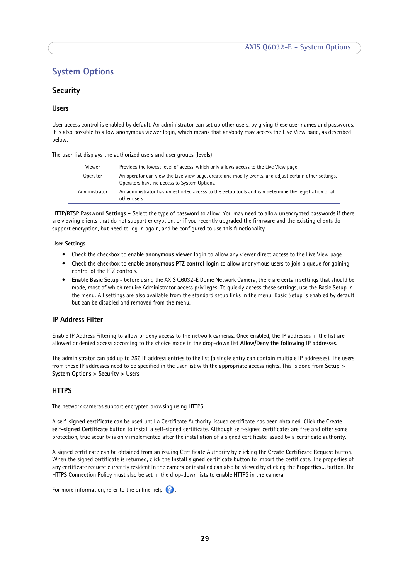# <span id="page-28-8"></span><span id="page-28-0"></span>**System Options**

# <span id="page-28-7"></span><span id="page-28-1"></span>**Security**

### <span id="page-28-9"></span>**Users**

User access control is enabled by default. An administrator can set up other users, by giving these user names and passwords. It is also possible to allow anonymous viewer login, which means that anybody may access the Live View page, as described below:

The **user list** displays the authorized users and user groups (levels):

<span id="page-28-10"></span><span id="page-28-5"></span><span id="page-28-2"></span>

| Viewer        | Provides the lowest level of access, which only allows access to the Live View page.                                                                   |
|---------------|--------------------------------------------------------------------------------------------------------------------------------------------------------|
| Operator      | An operator can view the Live View page, create and modify events, and adjust certain other settings.  <br>Operators have no access to System Options. |
| Administrator | An administrator has unrestricted access to the Setup tools and can determine the registration of all $\parallel$<br>other users.                      |

<span id="page-28-6"></span>**HTTP/RTSP Password Settings -** Select the type of password to allow. You may need to allow unencrypted passwords if there are viewing clients that do not support encryption, or if you recently upgraded the firmware and the existing clients do support encryption, but need to log in again, and be configured to use this functionality.

#### **User Settings**

- Check the checkbox to enable **anonymous viewer login** to allow any viewer direct access to the Live View page.
- Check the checkbox to enable **anonymous PTZ control login** to allow anonymous users to join a queue for gaining control of the PTZ controls.
- **Enable Basic Setup** before using the AXIS Q6032-E Dome Network Camera, there are certain settings that should be made, most of which require Administrator access privileges. To quickly access these settings, use the Basic Setup in the menu. All settings are also available from the standard setup links in the menu. Basic Setup is enabled by default but can be disabled and removed from the menu.

# <span id="page-28-4"></span>**IP Address Filter**

Enable IP Address Filtering to allow or deny access to the network cameras**.** Once enabled, the IP addresses in the list are allowed or denied access according to the choice made in the drop-down list **Allow/Deny the following IP addresses.**

The administrator can add up to 256 IP address entries to the list (a single entry can contain multiple IP addresses). The users from these IP addresses need to be specified in the user list with the appropriate access rights. This is done from **Setup > System Options > Security > Users**.

# <span id="page-28-3"></span>**HTTPS**

The network cameras support encrypted browsing using HTTPS.

A **self-signed certificate** can be used until a Certificate Authority-issued certificate has been obtained. Click the **Create self-signed Certificate** button to install a self-signed certificate. Although self-signed certificates are free and offer some protection, true security is only implemented after the installation of a signed certificate issued by a certificate authority.

A signed certificate can be obtained from an issuing Certificate Authority by clicking the **Create Certificate Request** button. When the signed certificate is returned, click the **Install signed certificate** button to import the certificate. The properties of any certificate request currently resident in the camera or installed can also be viewed by clicking the **Properties...** button. The HTTPS Connection Policy must also be set in the drop-down lists to enable HTTPS in the camera.

For more information, refer to the online help  $\bigcirc$ .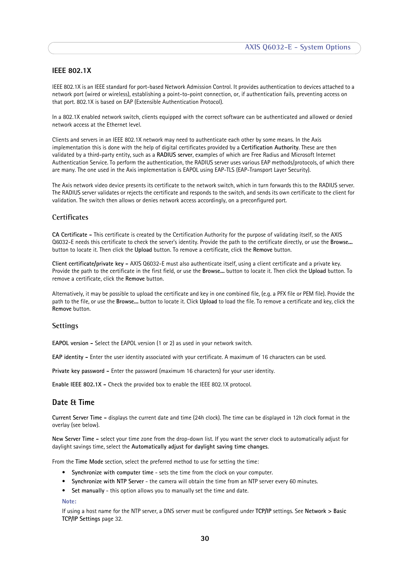# **IEEE 802.1X**

<span id="page-29-6"></span>IEEE 802.1X is an IEEE standard for port-based Network Admission Control. It provides authentication to devices attached to a network port (wired or wireless), establishing a point-to-point connection, or, if authentication fails, preventing access on that port. 802.1X is based on EAP (Extensible Authentication Protocol).

In a 802.1X enabled network switch, clients equipped with the correct software can be authenticated and allowed or denied network access at the Ethernet level.

<span id="page-29-8"></span><span id="page-29-2"></span>Clients and servers in an IEEE 802.1X network may need to authenticate each other by some means. In the Axis implementation this is done with the help of digital certificates provided by a **Certification Authority**. These are then validated by a third-party entity, such as a **RADIUS server**, examples of which are Free Radius and Microsoft Internet Authentication Service. To perform the authentication, the RADIUS server uses various EAP methods/protocols, of which there are many. The one used in the Axis implementation is EAPOL using EAP-TLS (EAP-Transport Layer Security).

The Axis network video device presents its certificate to the network switch, which in turn forwards this to the RADIUS server. The RADIUS server validates or rejects the certificate and responds to the switch, and sends its own certificate to the client for validation. The switch then allows or denies network access accordingly, on a preconfigured port.

### <span id="page-29-1"></span>**Certificates**

**CA Certificate -** This certificate is created by the Certification Authority for the purpose of validating itself, so the AXIS Q6032-E needs this certificate to check the server's identity. Provide the path to the certificate directly, or use the **Browse...** button to locate it. Then click the **Upload** button. To remove a certificate, click the **Remove** button.

**Client certificate/private key -** AXIS Q6032-E must also authenticate itself, using a client certificate and a private key. Provide the path to the certificate in the first field, or use the **Browse...** button to locate it. Then click the **Upload** button. To remove a certificate, click the **Remove** button.

Alternatively, it may be possible to upload the certificate and key in one combined file, (e.g. a PFX file or PEM file). Provide the path to the file, or use the **Browse...** button to locate it. Click **Upload** to load the file. To remove a certificate and key, click the **Remove** button.

#### **Settings**

<span id="page-29-5"></span>**EAPOL version -** Select the EAPOL version (1 or 2) as used in your network switch.

<span id="page-29-4"></span>**EAP identity - Enter the user identity associated with your certificate. A maximum of 16 characters can be used.** 

**Private key password -** Enter the password (maximum 16 characters) for your user identity.

**Enable IEEE 802.1X -** Check the provided box to enable the IEEE 802.1X protocol.

# <span id="page-29-3"></span><span id="page-29-0"></span>**Date & Time**

**Current Server Time -** displays the current date and time (24h clock). The time can be displayed in 12h clock format in the overlay (see below).

<span id="page-29-9"></span>**New Server Time -** select your time zone from the drop-down list. If you want the server clock to automatically adjust for daylight savings time, select the **Automatically adjust for daylight saving time changes**.

From the **Time Mode** section, select the preferred method to use for setting the time:

- <span id="page-29-10"></span><span id="page-29-7"></span>• **Synchronize with computer time** - sets the time from the clock on your computer.
- **Synchronize with NTP Server** the camera will obtain the time from an NTP server every 60 minutes.
- **Set manually** this option allows you to manually set the time and date.

#### **Note:**

If using a host name for the NTP server, a DNS server must be configured under **TCP/IP** settings. See **Network > Basic TCP/IP Settings** [page 32](#page-31-0).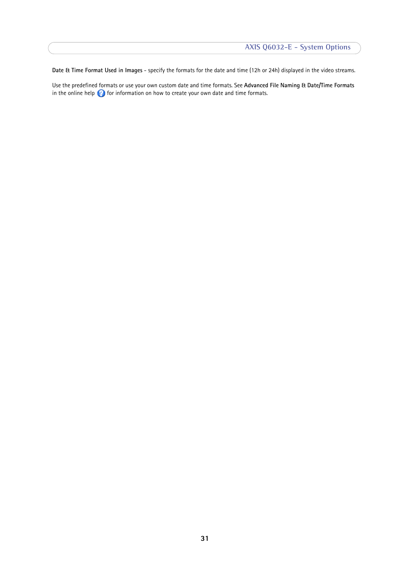**Date & Time Format Used in Images** - specify the formats for the date and time (12h or 24h) displayed in the video streams.

Use the predefined formats or use your own custom date and time formats. See **Advanced File Naming & Date/Time Formats**  in the online help  $\bullet$  for information on how to create your own date and time formats.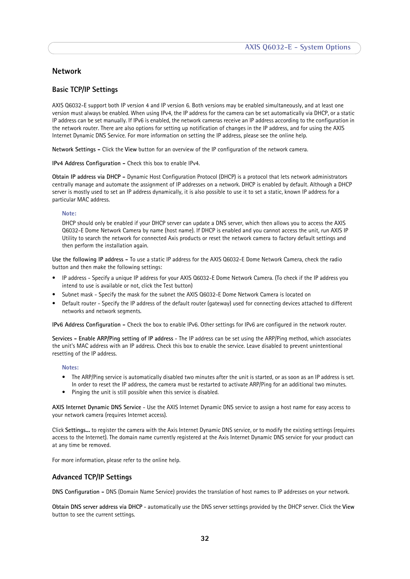# <span id="page-31-8"></span>**Network**

## <span id="page-31-9"></span><span id="page-31-0"></span>**Basic TCP/IP Settings**

AXIS Q6032-E support both IP version 4 and IP version 6. Both versions may be enabled simultaneously, and at least one version must always be enabled. When using IPv4, the IP address for the camera can be set automatically via DHCP, or a static IP address can be set manually. If IPv6 is enabled, the network cameras receive an IP address according to the configuration in the network router. There are also options for setting up notification of changes in the IP address, and for using the AXIS Internet Dynamic DNS Service. For more information on setting the IP address, please see the online help.

**Network Settings -** Click the **View** button for an overview of the IP configuration of the network camera.

<span id="page-31-6"></span>**IPv4 Address Configuration -** Check this box to enable IPv4.

**Obtain IP address via DHCP -** Dynamic Host Configuration Protocol (DHCP) is a protocol that lets network administrators centrally manage and automate the assignment of IP addresses on a network. DHCP is enabled by default. Although a DHCP server is mostly used to set an IP address dynamically, it is also possible to use it to set a static, known IP address for a particular MAC address.

#### **Note:**

DHCP should only be enabled if your DHCP server can update a DNS server, which then allows you to access the AXIS Q6032-E Dome Network Camera by name (host name). If DHCP is enabled and you cannot access the unit, run AXIS IP Utility to search the network for connected Axis products or reset the network camera to factory default settings and then perform the installation again.

**Use the following IP address -** To use a static IP address for the AXIS Q6032-E Dome Network Camera, check the radio button and then make the following settings:

- IP address Specify a unique IP address for your AXIS Q6032-E Dome Network Camera. (To check if the IP address you intend to use is available or not, click the Test button)
- Subnet mask Specify the mask for the subnet the AXIS Q6032-E Dome Network Camera is located on
- Default router Specify the IP address of the default router (gateway) used for connecting devices attached to different networks and network segments.

<span id="page-31-7"></span>**IPv6 Address Configuration -** Check the box to enable IPv6. Other settings for IPv6 are configured in the network router.

<span id="page-31-5"></span><span id="page-31-1"></span>**Services - Enable ARP/Ping setting of IP address** - The IP address can be set using the ARP/Ping method, which associates the unit's MAC address with an IP address. Check this box to enable the service. Leave disabled to prevent unintentional resetting of the IP address.

#### **Notes:**

- The ARP/Ping service is automatically disabled two minutes after the unit is started, or as soon as an IP address is set. In order to reset the IP address, the camera must be restarted to activate ARP/Ping for an additional two minutes.
- Pinging the unit is still possible when this service is disabled.

<span id="page-31-2"></span>**AXIS Internet Dynamic DNS Service** - Use the AXIS Internet Dynamic DNS service to assign a host name for easy access to your network camera (requires Internet access).

Click **Settings...** to register the camera with the Axis Internet Dynamic DNS service, or to modify the existing settings (requires access to the Internet). The domain name currently registered at the Axis Internet Dynamic DNS service for your product can at any time be removed.

For more information, please refer to the online help.

### **Advanced TCP/IP Settings**

<span id="page-31-3"></span>**DNS Configuration -** DNS (Domain Name Service) provides the translation of host names to IP addresses on your network.

<span id="page-31-4"></span>**Obtain DNS server address via DHCP** - automatically use the DNS server settings provided by the DHCP server. Click the **View** button to see the current settings.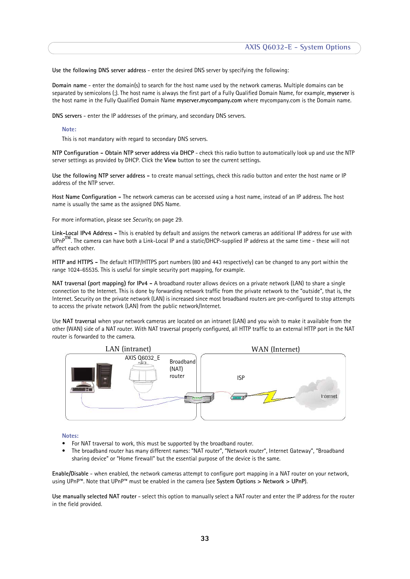**Use the following DNS server address** - enter the desired DNS server by specifying the following:

<span id="page-32-2"></span>**Domain name** - enter the domain(s) to search for the host name used by the network cameras. Multiple domains can be separated by semicolons (;). The host name is always the first part of a Fully Qualified Domain Name, for example, **myserver** is the host name in the Fully Qualified Domain Name **myserver.mycompany.com** where mycompany.com is the Domain name.

<span id="page-32-1"></span>**DNS servers** - enter the IP addresses of the primary, and secondary DNS servers.

#### **Note:**

This is not mandatory with regard to secondary DNS servers.

<span id="page-32-6"></span>**NTP Configuration - Obtain NTP server address via DHCP** - check this radio button to automatically look up and use the NTP server settings as provided by DHCP. Click the **View** button to see the current settings.

**Use the following NTP server address -** to create manual settings, check this radio button and enter the host name or IP address of the NTP server.

<span id="page-32-3"></span>**Host Name Configuration -** The network cameras can be accessed using a host name, instead of an IP address. The host name is usually the same as the assigned DNS Name.

For more information, please see *Security,* [on page 29.](#page-28-1)

<span id="page-32-7"></span><span id="page-32-5"></span>**Link-Local IPv4 Address -** This is enabled by default and assigns the network cameras an additional IP address for use with UPnP**™**. The camera can have both a Link-Local IP and a static/DHCP-supplied IP address at the same time - these will not affect each other.

<span id="page-32-4"></span>**HTTP and HTTPS -** The default HTTP/HTTPS port numbers (80 and 443 respectively) can be changed to any port within the range 1024-65535. This is useful for simple security port mapping, for example.

<span id="page-32-0"></span>**NAT traversal (port mapping) for IPv4 -** A broadband router allows devices on a private network (LAN) to share a single connection to the Internet. This is done by forwarding network traffic from the private network to the "outside", that is, the Internet. Security on the private network (LAN) is increased since most broadband routers are pre-configured to stop attempts to access the private network (LAN) from the public network/Internet.

Use **NAT traversal** when your network cameras are located on an intranet (LAN) and you wish to make it available from the other (WAN) side of a NAT router. With NAT traversal properly configured, all HTTP traffic to an external HTTP port in the NAT router is forwarded to the camera.



#### **Notes:**

- For NAT traversal to work, this must be supported by the broadband router.
- The broadband router has many different names: "NAT router", "Network router", Internet Gateway", "Broadband sharing device" or "Home firewall" but the essential purpose of the device is the same.

**Enable/Disable** - when enabled, the network cameras attempt to configure port mapping in a NAT router on your network, using UPnP™. Note that UPnP™ must be enabled in the camera (see **System Options > Network > UPnP**).

**Use manually selected NAT router** - select this option to manually select a NAT router and enter the IP address for the router in the field provided.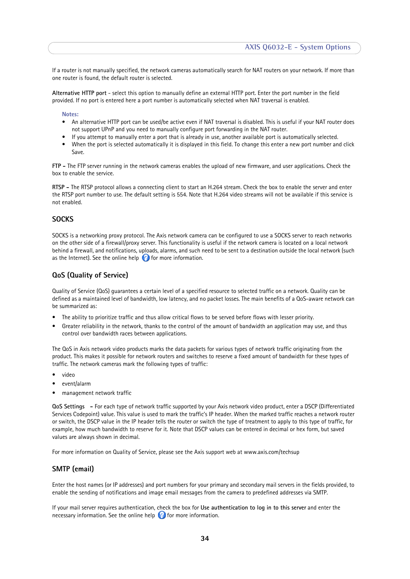If a router is not manually specified, the network cameras automatically search for NAT routers on your network. If more than one router is found, the default router is selected.

**Alternative HTTP port** - select this option to manually define an external HTTP port. Enter the port number in the field provided. If no port is entered here a port number is automatically selected when NAT traversal is enabled.

#### **Notes:**

- An alternative HTTP port can be used/be active even if NAT traversal is disabled. This is useful if your NAT router does not support UPnP and you need to manually configure port forwarding in the NAT router.
- If you attempt to manually enter a port that is already in use, another available port is automatically selected.
- When the port is selected automatically it is displayed in this field. To change this enter a new port number and click Save.

<span id="page-33-1"></span>**FTP -** The FTP server running in the network cameras enables the upload of new firmware, and user applications. Check the box to enable the service.

<span id="page-33-3"></span>**RTSP -** The RTSP protocol allows a connecting client to start an H.264 stream. Check the box to enable the server and enter the RTSP port number to use. The default setting is 554. Note that H.264 video streams will not be available if this service is not enabled.

### <span id="page-33-0"></span>**SOCKS**

SOCKS is a networking proxy protocol. The Axis network camera can be configured to use a SOCKS server to reach networks on the other side of a firewall/proxy server. This functionality is useful if the network camera is located on a local network behind a firewall, and notifications, uploads, alarms, and such need to be sent to a destination outside the local network (such as the Internet). See the online help  $\bullet$  for more information.

### <span id="page-33-2"></span>**QoS (Quality of Service)**

Quality of Service (QoS) guarantees a certain level of a specified resource to selected traffic on a network. Quality can be defined as a maintained level of bandwidth, low latency, and no packet losses. The main benefits of a QoS-aware network can be summarized as:

- The ability to prioritize traffic and thus allow critical flows to be served before flows with lesser priority.
- Greater reliability in the network, thanks to the control of the amount of bandwidth an application may use, and thus control over bandwidth races between applications.

The QoS in Axis network video products marks the data packets for various types of network traffic originating from the product. This makes it possible for network routers and switches to reserve a fixed amount of bandwidth for these types of traffic. The network cameras mark the following types of traffic:

- video
- event/alarm
- management network traffic

**QoS Settings -** For each type of network traffic supported by your Axis network video product, enter a DSCP (Differentiated Services Codepoint) value. This value is used to mark the traffic's IP header. When the marked traffic reaches a network router or switch, the DSCP value in the IP header tells the router or switch the type of treatment to apply to this type of traffic, for example, how much bandwidth to reserve for it. Note that DSCP values can be entered in decimal or hex form, but saved values are always shown in decimal.

For more information on Quality of Service, please see the Axis support web at www.axis.com/techsup

### <span id="page-33-4"></span>**SMTP (email)**

Enter the host names (or IP addresses) and port numbers for your primary and secondary mail servers in the fields provided, to enable the sending of notifications and image email messages from the camera to predefined addresses via SMTP.

If your mail server requires authentication, check the box for **Use authentication to log in to this server** and enter the necessary information. See the online help  $\bullet$  for more information.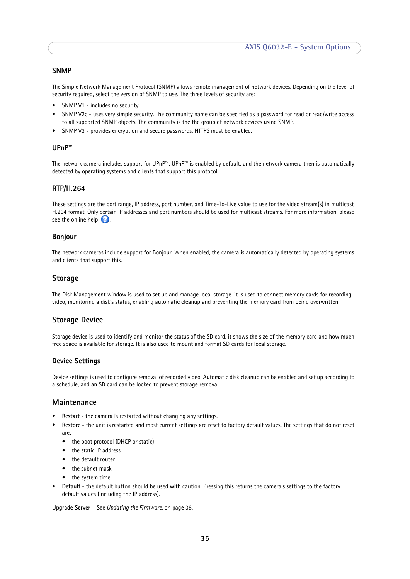### <span id="page-34-5"></span>**SNMP**

The Simple Network Management Protocol (SNMP) allows remote management of network devices. Depending on the level of security required, select the version of SNMP to use. The three levels of security are:

- SNMP V1 includes no security.
- SNMP V2c uses very simple security. The community name can be specified as a password for read or read/write access to all supported SNMP objects. The community is the the group of network devices using SNMP.
- SNMP V3 provides encryption and secure passwords. HTTPS must be enabled.

### <span id="page-34-9"></span>**UPnP™**

The network camera includes support for UPnP™. UPnP™ is enabled by default, and the network camera then is automatically detected by operating systems and clients that support this protocol.

#### **RTP/H.264**

These settings are the port range, IP address, port number, and Time-To-Live value to use for the video stream(s) in multicast H.264 format. Only certain IP addresses and port numbers should be used for multicast streams. For more information, please see the online help  $\bullet$ .

#### <span id="page-34-3"></span>**Bonjour**

The network cameras include support for Bonjour. When enabled, the camera is automatically detected by operating systems and clients that support this.

### <span id="page-34-6"></span><span id="page-34-0"></span>**Storage**

The Disk Management window is used to set up and manage local storage. it is used to connect memory cards for recording video, monitoring a disk's status, enabling automatic cleanup and preventing the memory card from being overwritten.

#### <span id="page-34-7"></span><span id="page-34-1"></span>**Storage Device**

Storage device is used to identify and monitor the status of the SD card. it shows the size of the memory card and how much free space is available for storage. It is also used to mount and format SD cards for local storage.

### **Device Settings**

Device settings is used to configure removal of recorded video. Automatic disk cleanup can be enabled and set up according to a schedule, and an SD card can be locked to prevent storage removal.

## <span id="page-34-2"></span>**Maintenance**

- <span id="page-34-4"></span>Restart - the camera is restarted without changing any settings.
- **Restore** the unit is restarted and most current settings are reset to factory default values. The settings that do not reset are:
	- the boot protocol (DHCP or static)
	- the static IP address
	- the default router
	- the subnet mask
	- the system time
- **Default** the default button should be used with caution. Pressing this returns the camera's settings to the factory default values (including the IP address).

<span id="page-34-8"></span>**Upgrade Server -** See *[Updating the Firmware](#page-37-4)*, on page 38.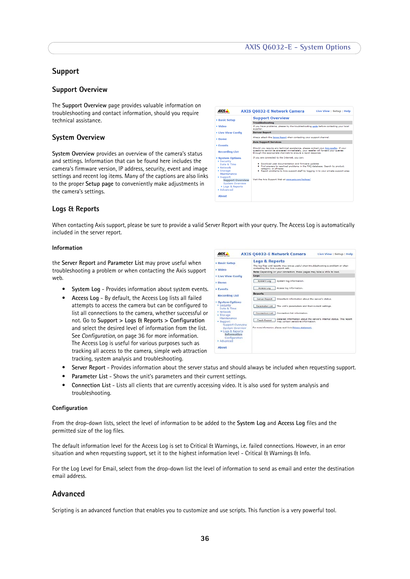# <span id="page-35-4"></span><span id="page-35-0"></span>**Support**

### **Support Overview**

The **Support Overview** page provides valuable information on troubleshooting and contact information, should you require technical assistance.

### **System Overview**

**System Overview** provides an overview of the camera's status and settings. Information that can be found here includes the camera's firmware version, IP address, security, event and image settings and recent log items. Many of the captions are also links to the proper **Setup page** to conveniently make adjustments in the camera's settings.

|                                          | <b>AXIS Q6032-E Network Camera</b><br>Live View   Setup   Help                                                                                    |
|------------------------------------------|---------------------------------------------------------------------------------------------------------------------------------------------------|
| <b>Basic Setup</b>                       | <b>Support Overview</b>                                                                                                                           |
|                                          | <b>Troubleshooting</b>                                                                                                                            |
| <b>Video</b>                             | If you have problems, please try the troubleshooting quide before contacting your local<br>supplier.                                              |
| <b>Eive View Config</b>                  | <b>Server Report</b>                                                                                                                              |
| <b>EDome</b>                             | Always attach the Server Report when contacting your support channel.                                                                             |
|                                          | <b>Axis Support Services</b>                                                                                                                      |
| <b>Events</b>                            | Should you require any technical assistance, please contact your Axis reseller. If your                                                           |
| <b>Recording List</b>                    | questions cannot be answered immediately, your reseller will forward your queries<br>through the appropriate channels to ensure a rapid response. |
| <b>* System Options</b>                  | If you are connected to the Internet, you can:                                                                                                    |
| ▶ Security                               | . Download user documentation and firmware updates                                                                                                |
| Date & Time<br><b>Network</b>            | . Find answers to resolved problems in the FAO database. Search by product.                                                                       |
| $\blacktriangleright$ Storage            | category, or phrases<br>. Report problems to Axis support staff by logging in to your private support area                                        |
| Maintenance                              |                                                                                                                                                   |
| $\blacktriangleright$ Support            |                                                                                                                                                   |
| <b>Support Overview</b>                  | Visit the Axis Support Web at www.axis.com/techsup/                                                                                               |
| <b>System Overview</b><br>Logs & Reports |                                                                                                                                                   |
| <b>Mannesot</b>                          |                                                                                                                                                   |
|                                          |                                                                                                                                                   |
| <b>About</b>                             |                                                                                                                                                   |

### <span id="page-35-6"></span>**Logs & Reports**

When contacting Axis support, please be sure to provide a valid Server Report with your query. The Access Log is automatically included in the server report.

#### **Information**

<span id="page-35-8"></span><span id="page-35-7"></span>the **Server Report** and **Parameter List** may prove useful when troubleshooting a problem or when contacting the Axis support web.

- <span id="page-35-9"></span><span id="page-35-3"></span>• **System Log** - Provides information about system events.
- **Access Log** By default, the Access Log lists all failed attempts to access the camera but can be configured to list all connections to the camera, whether successful or not. Go to **Support > Logs & Reports > Configuration** and select the desired level of information from the list. See *[Configuration,](#page-35-2)* on page 36 for more information. The Access Log is useful for various purposes such as tracking all access to the camera, simple web attraction tracking, system analysis and troubleshooting.

| AXIS.                                                                                                                                                                                                                                                                        | <b>AXIS Q6032-E Network Camera</b><br>Live View   Setup   Help                                                                                                                                                                                                                                                                                                                                                  |
|------------------------------------------------------------------------------------------------------------------------------------------------------------------------------------------------------------------------------------------------------------------------------|-----------------------------------------------------------------------------------------------------------------------------------------------------------------------------------------------------------------------------------------------------------------------------------------------------------------------------------------------------------------------------------------------------------------|
| <b>Basic Setup</b><br>Video<br><b>Live View Config</b>                                                                                                                                                                                                                       | <b>Logs &amp; Reports</b><br>The log files and reports may prove useful when troubleshooting a problem or when<br>contacting the Axis support web.<br>Note: Depending on your connection, these pages may take a while to load.<br>Logs                                                                                                                                                                         |
| <b>Dome</b><br><b>Fvents</b>                                                                                                                                                                                                                                                 | System log information.<br>System Log<br>Access log information.<br>Access Log                                                                                                                                                                                                                                                                                                                                  |
| <b>Recording List</b><br>System Options<br><b>E</b> Security<br>Date & Time<br><b>KNotwork</b><br>▶ Storage<br>Maintenance<br>$\div$ Support<br>Support Overview<br><b>System Overview</b><br>* Logs & Reports<br>Information<br>Configuration<br>· Advanced<br><b>About</b> | <b>Reports</b><br>Server Report<br>Important information about the server's status.<br><b>Parameter List</b><br>The unit's parameters and their current settings.<br>Connection list information.<br>Connection List<br>Detailed information about the server's internal status. This report<br>Crash Report<br>may contain sensitive information.<br>For more information, please read Axis Privacy statement. |

- **Server Report** Provides information about the server status and should always be included when requesting support.
- <span id="page-35-5"></span>• **Parameter List** - Shows the unit's parameters and their current settings.
- **Connection List** Lists all clients that are currently accessing video. It is also used for system analysis and troubleshooting.

#### <span id="page-35-2"></span>**Configuration**

From the drop-down lists, select the level of information to be added to the **System Log** and **Access Log** files and the permitted size of the log files.

The default information level for the Access Log is set to Critical & Warnings, i.e. failed connections. However, in an error situation and when requesting support, set it to the highest information level - Critical & Warnings & Info.

For the Log Level for Email, select from the drop-down list the level of information to send as email and enter the destination email address.

# <span id="page-35-1"></span>**Advanced**

Scripting is an advanced function that enables you to customize and use scripts. This function is a very powerful tool.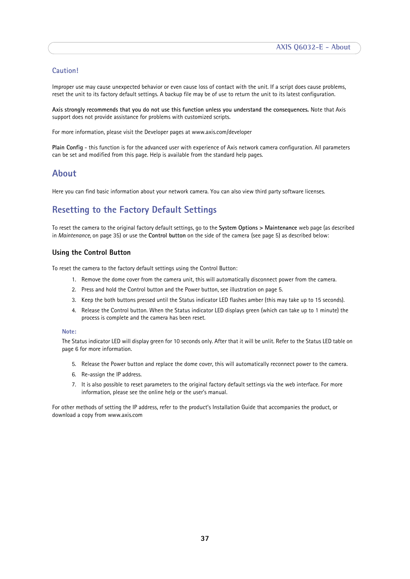# **Caution!**

Improper use may cause unexpected behavior or even cause loss of contact with the unit. If a script does cause problems, reset the unit to its factory default settings. A backup file may be of use to return the unit to its latest configuration.

**Axis strongly recommends that you do not use this function unless you understand the consequences.** Note that Axis support does not provide assistance for problems with customized scripts.

For more information, please visit the Developer pages at www.axis.com/developer

**Plain Config** - this function is for the advanced user with experience of Axis network camera configuration. All parameters can be set and modified from this page. Help is available from the standard help pages.

# <span id="page-36-0"></span>**About**

Here you can find basic information about your network camera. You can also view third party software licenses.

# <span id="page-36-4"></span><span id="page-36-2"></span><span id="page-36-1"></span>**Resetting to the Factory Default Settings**

To reset the camera to the original factory default settings, go to the **System Options > Maintenance** web page (as described in *[Maintenance,](#page-34-2)* on page 35) or use the **Control button** on the side of the camera (see [page 5\)](#page-4-1) as described below:

### <span id="page-36-3"></span>**Using the Control Button**

To reset the camera to the factory default settings using the Control Button:

- 1. Remove the dome cover from the camera unit, this will automatically disconnect power from the camera.
- 2. Press and hold the Control button and the Power button, see illustration on [page 5](#page-4-1).
- 3. Keep the both buttons pressed until the Status indicator LED flashes amber (this may take up to 15 seconds).
- 4. Release the Control button. When the Status indicator LED displays green (which can take up to 1 minute) the process is complete and the camera has been reset.

#### **Note:**

The Status indicator LED will display green for 10 seconds only. After that it will be unlit. Refer to the Status LED table on [page 6](#page-5-1) for more information.

- 5. Release the Power button and replace the dome cover, this will automatically reconnect power to the camera.
- 6. Re-assign the IP address.
- 7. It is also possible to reset parameters to the original factory default settings via the web interface. For more information, please see the online help or the user's manual.

For other methods of setting the IP address, refer to the product's Installation Guide that accompanies the product, or download a copy from www.axis.com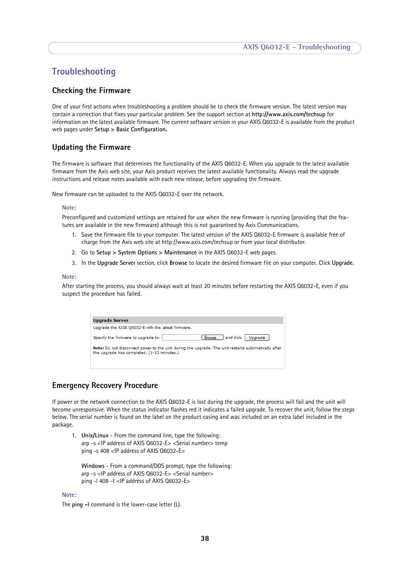# <span id="page-37-8"></span><span id="page-37-0"></span>**Troubleshooting**

## <span id="page-37-6"></span><span id="page-37-1"></span>**Checking the Firmware**

One of your first actions when troubleshooting a problem should be to check the firmware version. The latest version may contain a correction that fixes your particular problem. See the support section at **http://www.axis.com/techsup** for information on the latest available firmware. The current software version in your AXIS Q6032-E is available from the product web pages under **Setup > Basic Configuration.**

# <span id="page-37-4"></span><span id="page-37-2"></span>**Updating the Firmware**

The firmware is software that determines the functionality of the AXIS Q6032-E. When you upgrade to the latest available firmware from the Axis web site, your Axis product receives the latest available functionality. Always read the upgrade instructions and release notes available with each new release, before upgrading the firmware.

New firmware can be uploaded to the AXIS Q6032-E over the network.

#### **Note:**

Preconfigured and customized settings are retained for use when the new firmware is running (providing that the features are available in the new firmware) although this is not guaranteed by Axis Communications.

- 1. Save the firmware file to your computer. The latest version of the AXIS Q6032-E firmware is available free of charge from the Axis web site at http://www.axis.com/techsup or from your local distributor.
- 2. Go to **Setup > System Options > Maintenance** in the AXIS Q6032-E web pages.
- 3. In the **Upgrade Server** section, click **Browse** to locate the desired firmware file on your computer. Click **Upgrade**.

#### **Note:**

After starting the process, you should always wait at least 20 minutes before restarting the AXIS Q6032-E, even if you suspect the procedure has failed.

<span id="page-37-5"></span>

| Upgrade Server                                                                                                                                    |  |  |
|---------------------------------------------------------------------------------------------------------------------------------------------------|--|--|
| Upgrade the AXIS Q6032-E with the latest firmware.                                                                                                |  |  |
| [Browse ] and click  <br>Specify the firmware to upgrade to:<br>Upgrade                                                                           |  |  |
| Note: Do not disconnect power to the unit during the upgrade. The unit restarts automatically after<br>the upgrade has completed. (1-10 minutes.) |  |  |
|                                                                                                                                                   |  |  |

# <span id="page-37-7"></span><span id="page-37-3"></span>**Emergency Recovery Procedure**

If power or the network connection to the AXIS Q6032-E is lost during the upgrade, the process will fail and the unit will become unresponsive. When the status indicator flashes red it indicates a failed upgrade. To recover the unit, follow the steps below. The serial number is found on the label on the product casing and was included on an extra label included in the package.

1. **Unix/Linux** - From the command line, type the following: arp -s <IP address of AXIS Q6032-E> <Serial number> temp ping -s 408 <IP address of AXIS Q6032-E>

**Windows** - From a command/DOS prompt, type the following: arp -s <IP address of AXIS Q6032-E> <Serial number> ping -l 408 -t <IP address of AXIS Q6032-E>

#### **Note:**

The **ping -l** command is the lower-case letter (L).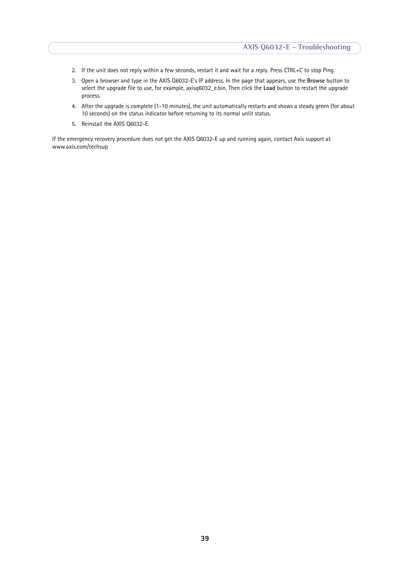- 2. If the unit does not reply within a few seconds, restart it and wait for a reply. Press CTRL+C to stop Ping.
- 3. Open a browser and type in the AXIS Q6032-E's IP address. In the page that appears, use the **Browse** button to select the upgrade file to use, for example, axisq6032\_e.bin. Then click the **Load** button to restart the upgrade process.
- 4. After the upgrade is complete (1-10 minutes), the unit automatically restarts and shows a steady green (for about 10 seconds) on the status indicator before returning to its normal unlit status.
- 5. Reinstall the AXIS Q6032-E.

If the emergency recovery procedure does not get the AXIS Q6032-E up and running again, contact Axis support at www.axis.com/techsup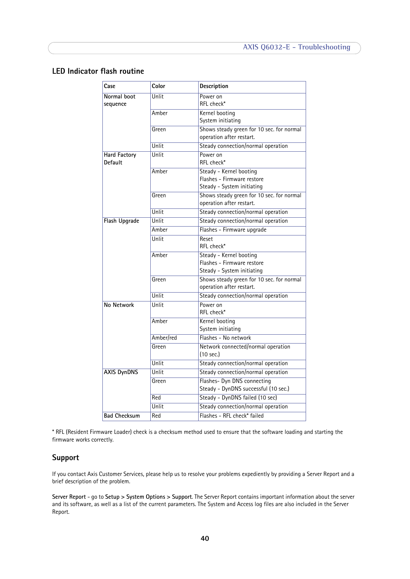# <span id="page-39-3"></span><span id="page-39-2"></span><span id="page-39-0"></span>**LED Indicator flash routine**

| Case                           | Color     | Description                                                           |
|--------------------------------|-----------|-----------------------------------------------------------------------|
| Normal boot<br>sequence        | Unlit     | Power on<br>RFL check*                                                |
|                                | Amber     | Kernel booting                                                        |
|                                |           | System initiating                                                     |
|                                | Green     | Shows steady green for 10 sec. for normal                             |
|                                |           | operation after restart.                                              |
|                                | Unlit     | Steady connection/normal operation                                    |
| <b>Hard Factory</b><br>Default | Unlit     | Power on<br>RFL check*                                                |
|                                | Amber     | Steady - Kernel booting                                               |
|                                |           | Flashes - Firmware restore                                            |
|                                | Green     | Steady - System initiating                                            |
|                                |           | Shows steady green for 10 sec. for normal<br>operation after restart. |
|                                | Unlit     | Steady connection/normal operation                                    |
| <b>Flash Upgrade</b>           | Unlit     | Steady connection/normal operation                                    |
|                                | Amber     | Flashes - Firmware upgrade                                            |
|                                | Unlit     | Reset<br>RFL check*                                                   |
|                                | Amber     | Steady - Kernel booting                                               |
|                                |           | Flashes - Firmware restore                                            |
|                                |           | Steady - System initiating                                            |
|                                | Green     | Shows steady green for 10 sec. for normal<br>operation after restart. |
|                                | Unlit     | Steady connection/normal operation                                    |
| No Network                     | Unlit     | Power on<br>RFL check*                                                |
|                                | Amber     | Kernel booting<br>System initiating                                   |
|                                | Amber/red | Flashes - No network                                                  |
|                                | Green     | Network connected/normal operation                                    |
|                                |           | $(10 \text{ sec.})$                                                   |
|                                | Unlit     | Steady connection/normal operation                                    |
| <b>AXIS DynDNS</b>             | Unlit     | Steady connection/normal operation                                    |
|                                | Green     | Flashes- Dyn DNS connecting<br>Steady - DynDNS successful (10 sec.)   |
|                                | Red       | Steady - DynDNS failed (10 sec)                                       |
|                                | Unlit     | Steady connection/normal operation                                    |
| <b>Bad Checksum</b>            | Red       | Flashes - RFL check* failed                                           |

\* RFL (Resident Firmware Loader) check is a checksum method used to ensure that the software loading and starting the firmware works correctly.

# <span id="page-39-4"></span><span id="page-39-1"></span>**Support**

If you contact Axis Customer Services, please help us to resolve your problems expediently by providing a Server Report and a brief description of the problem.

**Server Report** - go to **Setup > System Options > Support**. The Server Report contains important information about the server and its software, as well as a list of the current parameters. The System and Access log files are also included in the Server Report.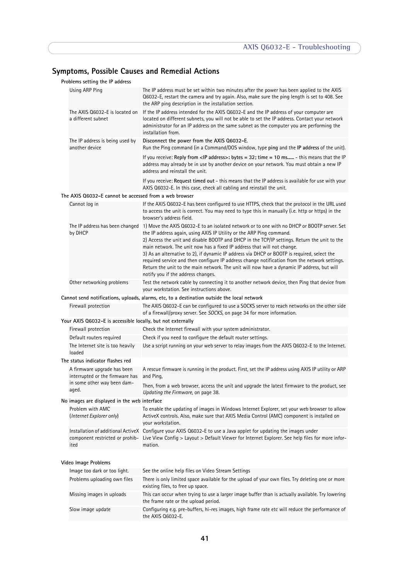# **Symptoms, Possible Causes and Remedial Actions**

|                                                                                                                                                                                                | Problems setting the IP address                                |                                                                                                                                                                                                                                                                                                                                                                                                                                                                                                                                                                                                                                                                                                                    |  |  |  |
|------------------------------------------------------------------------------------------------------------------------------------------------------------------------------------------------|----------------------------------------------------------------|--------------------------------------------------------------------------------------------------------------------------------------------------------------------------------------------------------------------------------------------------------------------------------------------------------------------------------------------------------------------------------------------------------------------------------------------------------------------------------------------------------------------------------------------------------------------------------------------------------------------------------------------------------------------------------------------------------------------|--|--|--|
|                                                                                                                                                                                                | Using ARP Ping                                                 | The IP address must be set within two minutes after the power has been applied to the AXIS<br>Q6032-E, restart the camera and try again. Also, make sure the ping length is set to 408. See<br>the ARP ping description in the installation section.                                                                                                                                                                                                                                                                                                                                                                                                                                                               |  |  |  |
|                                                                                                                                                                                                | The AXIS 06032-E is located on<br>a different subnet           | If the IP address intended for the AXIS Q6032-E and the IP address of your computer are<br>located on different subnets, you will not be able to set the IP address. Contact your network<br>administrator for an IP address on the same subnet as the computer you are performing the<br>installation from.                                                                                                                                                                                                                                                                                                                                                                                                       |  |  |  |
|                                                                                                                                                                                                | The IP address is being used by<br>another device              | Disconnect the power from the AXIS Q6032-E.<br>Run the Ping command (in a Command/DOS window, type ping and the IP address of the unit).                                                                                                                                                                                                                                                                                                                                                                                                                                                                                                                                                                           |  |  |  |
|                                                                                                                                                                                                |                                                                | If you receive: Reply from <ip address="">: bytes = 32; time = 10 ms - this means that the IP<br/>address may already be in use by another device on your network. You must obtain a new IP<br/>address and reinstall the unit.</ip>                                                                                                                                                                                                                                                                                                                                                                                                                                                                               |  |  |  |
|                                                                                                                                                                                                |                                                                | If you receive: Request timed out - this means that the IP address is available for use with your<br>AXIS Q6032-E. In this case, check all cabling and reinstall the unit.                                                                                                                                                                                                                                                                                                                                                                                                                                                                                                                                         |  |  |  |
|                                                                                                                                                                                                | The AXIS Q6032-E cannot be accessed from a web browser         |                                                                                                                                                                                                                                                                                                                                                                                                                                                                                                                                                                                                                                                                                                                    |  |  |  |
|                                                                                                                                                                                                | Cannot log in                                                  | If the AXIS Q6032-E has been configured to use HTTPS, check that the protocol in the URL used<br>to access the unit is correct. You may need to type this in manually (i.e. http or https) in the<br>browser's address field.                                                                                                                                                                                                                                                                                                                                                                                                                                                                                      |  |  |  |
|                                                                                                                                                                                                | by DHCP                                                        | The IP address has been changed 1) Move the AXIS Q6032-E to an isolated network or to one with no DHCP or BOOTP server. Set<br>the IP address again, using AXIS IP Utility or the ARP Ping command.<br>2) Access the unit and disable BOOTP and DHCP in the TCP/IP settings. Return the unit to the<br>main network. The unit now has a fixed IP address that will not change.<br>3) As an alternative to 2), if dynamic IP address via DHCP or BOOTP is required, select the<br>required service and then configure IP address change notification from the network settings.<br>Return the unit to the main network. The unit will now have a dynamic IP address, but will<br>notify you if the address changes. |  |  |  |
|                                                                                                                                                                                                | Other networking problems                                      | Test the network cable by connecting it to another network device, then Ping that device from<br>your workstation. See instructions above.                                                                                                                                                                                                                                                                                                                                                                                                                                                                                                                                                                         |  |  |  |
|                                                                                                                                                                                                |                                                                | Cannot send notifications, uploads, alarms, etc, to a destination outside the local network                                                                                                                                                                                                                                                                                                                                                                                                                                                                                                                                                                                                                        |  |  |  |
| Firewall protection<br>The AXIS Q6032-E can be configured to use a SOCKS server to reach networks on the other side<br>of a firewall/proxy server. See SOCKS, on page 34 for more information. |                                                                |                                                                                                                                                                                                                                                                                                                                                                                                                                                                                                                                                                                                                                                                                                                    |  |  |  |
| Your AXIS Q6032-E is accessible locally, but not externally                                                                                                                                    |                                                                |                                                                                                                                                                                                                                                                                                                                                                                                                                                                                                                                                                                                                                                                                                                    |  |  |  |
|                                                                                                                                                                                                | Firewall protection                                            | Check the Internet firewall with your system administrator.                                                                                                                                                                                                                                                                                                                                                                                                                                                                                                                                                                                                                                                        |  |  |  |
|                                                                                                                                                                                                | Default routers required                                       | Check if you need to configure the default router settings.                                                                                                                                                                                                                                                                                                                                                                                                                                                                                                                                                                                                                                                        |  |  |  |
|                                                                                                                                                                                                | The Internet site is too heavily<br>loaded                     | Use a script running on your web server to relay images from the AXIS Q6032-E to the Internet.                                                                                                                                                                                                                                                                                                                                                                                                                                                                                                                                                                                                                     |  |  |  |
|                                                                                                                                                                                                | The status indicator flashes red                               |                                                                                                                                                                                                                                                                                                                                                                                                                                                                                                                                                                                                                                                                                                                    |  |  |  |
|                                                                                                                                                                                                | A firmware upgrade has been<br>interrupted or the firmware has | A rescue firmware is running in the product. First, set the IP address using AXIS IP utility or ARP<br>and Ping.                                                                                                                                                                                                                                                                                                                                                                                                                                                                                                                                                                                                   |  |  |  |
|                                                                                                                                                                                                | in some other way been dam-<br>aged.                           | Then, from a web browser, access the unit and upgrade the latest firmware to the product, see<br>Updating the Firmware, on page 38.                                                                                                                                                                                                                                                                                                                                                                                                                                                                                                                                                                                |  |  |  |
|                                                                                                                                                                                                | No images are displayed in the web interface                   |                                                                                                                                                                                                                                                                                                                                                                                                                                                                                                                                                                                                                                                                                                                    |  |  |  |
|                                                                                                                                                                                                | Problem with AMC<br>(Internet Explorer only)                   | To enable the updating of images in Windows Internet Explorer, set your web browser to allow<br>ActiveX controls. Also, make sure that AXIS Media Control (AMC) component is installed on<br>your workstation.                                                                                                                                                                                                                                                                                                                                                                                                                                                                                                     |  |  |  |
|                                                                                                                                                                                                | component restricted or prohib-<br>ited                        | Installation of additional ActiveX Configure your AXIS Q6032-E to use a Java applet for updating the images under<br>Live View Config > Layout > Default Viewer for Internet Explorer. See help files for more infor-<br>mation.                                                                                                                                                                                                                                                                                                                                                                                                                                                                                   |  |  |  |
| Video Image Problems                                                                                                                                                                           |                                                                |                                                                                                                                                                                                                                                                                                                                                                                                                                                                                                                                                                                                                                                                                                                    |  |  |  |
|                                                                                                                                                                                                | Image too dark or too light.                                   | See the online help files on Video Stream Settings                                                                                                                                                                                                                                                                                                                                                                                                                                                                                                                                                                                                                                                                 |  |  |  |
|                                                                                                                                                                                                | Problems uploading own files                                   | There is only limited space available for the upload of your own files. Try deleting one or more<br>existing files, to free up space.                                                                                                                                                                                                                                                                                                                                                                                                                                                                                                                                                                              |  |  |  |
|                                                                                                                                                                                                | Missing images in uploads                                      | This can occur when trying to use a larger image buffer than is actually available. Try lowering<br>the frame rate or the upload period.                                                                                                                                                                                                                                                                                                                                                                                                                                                                                                                                                                           |  |  |  |
|                                                                                                                                                                                                | Slow image update                                              | Configuring e.g. pre-buffers, hi-res images, high frame rate etc will reduce the performance of<br>the AXIS Q6032-E.                                                                                                                                                                                                                                                                                                                                                                                                                                                                                                                                                                                               |  |  |  |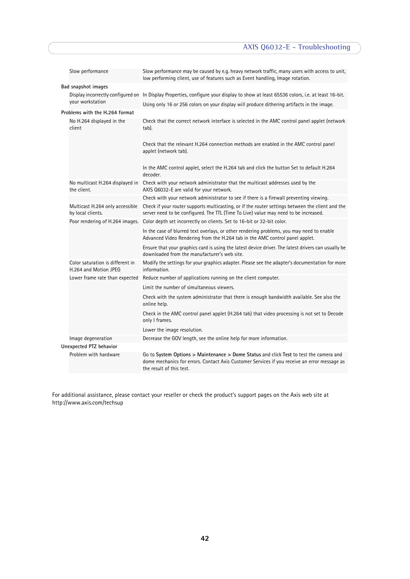| Slow performance                                          | Slow performance may be caused by e.g. heavy network traffic, many users with access to unit,<br>low performing client, use of features such as Event handling, Image rotation.                                    |
|-----------------------------------------------------------|--------------------------------------------------------------------------------------------------------------------------------------------------------------------------------------------------------------------|
| Bad snapshot images                                       |                                                                                                                                                                                                                    |
|                                                           | Display incorrectly configured on In Display Properties, configure your display to show at least 65536 colors, i.e. at least 16-bit.                                                                               |
| your workstation                                          | Using only 16 or 256 colors on your display will produce dithering artifacts in the image.                                                                                                                         |
| Problems with the H.264 format                            |                                                                                                                                                                                                                    |
| No H.264 displayed in the<br>client                       | Check that the correct network interface is selected in the AMC control panel applet (network<br>tab).                                                                                                             |
|                                                           | Check that the relevant H.264 connection methods are enabled in the AMC control panel<br>applet (network tab).                                                                                                     |
|                                                           | In the AMC control applet, select the H.264 tab and click the button Set to default H.264<br>decoder.                                                                                                              |
| No multicast H.264 displayed in<br>the client.            | Check with your network administrator that the multicast addresses used by the<br>AXIS Q6032-E are valid for your network.                                                                                         |
|                                                           | Check with your network administrator to see if there is a firewall preventing viewing.                                                                                                                            |
| Multicast H.264 only accessible<br>by local clients.      | Check if your router supports multicasting, or if the router settings between the client and the<br>server need to be configured. The TTL (Time To Live) value may need to be increased.                           |
|                                                           | Poor rendering of H.264 images. Color depth set incorrectly on clients. Set to 16-bit or 32-bit color.                                                                                                             |
|                                                           | In the case of blurred text overlays, or other rendering problems, you may need to enable<br>Advanced Video Rendering from the H.264 tab in the AMC control panel applet.                                          |
|                                                           | Ensure that your graphics card is using the latest device driver. The latest drivers can usually be<br>downloaded from the manufacturer's web site.                                                                |
| Color saturation is different in<br>H.264 and Motion JPEG | Modify the settings for your graphics adapter. Please see the adapter's documentation for more<br>information.                                                                                                     |
| Lower frame rate than expected                            | Reduce number of applications running on the client computer.                                                                                                                                                      |
|                                                           | Limit the number of simultaneous viewers.                                                                                                                                                                          |
|                                                           | Check with the system administrator that there is enough bandwidth available. See also the<br>online help.                                                                                                         |
|                                                           | Check in the AMC control panel applet (H.264 tab) that video processing is not set to Decode<br>only I frames.                                                                                                     |
|                                                           | Lower the image resolution.                                                                                                                                                                                        |
| Image degeneration                                        | Decrease the GOV length, see the online help for more information.                                                                                                                                                 |
| Unexpected PTZ behavior                                   |                                                                                                                                                                                                                    |
| Problem with hardware                                     | Go to System Options > Maintenance > Dome Status and click Test to test the camera and<br>dome mechanics for errors. Contact Axis Customer Services if you receive an error message as<br>the result of this test. |

For additional assistance, please contact your reseller or check the product's support pages on the Axis web site at http://www.axis.com/techsup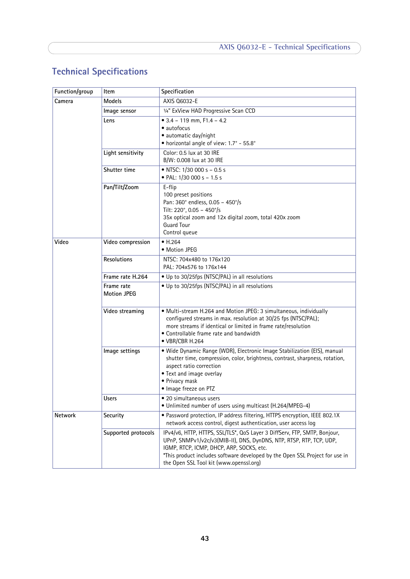# <span id="page-42-1"></span><span id="page-42-0"></span>**Technical Specifications**

| Function/group | ltem                             | Specification                                                                                                                                                                                                                                                                                                           |
|----------------|----------------------------------|-------------------------------------------------------------------------------------------------------------------------------------------------------------------------------------------------------------------------------------------------------------------------------------------------------------------------|
| Camera         | <b>Models</b>                    | AXIS 06032-E                                                                                                                                                                                                                                                                                                            |
|                | Image sensor                     | 1/4" ExView HAD Progressive Scan CCD                                                                                                                                                                                                                                                                                    |
|                | Lens                             | $\bullet$ 3.4 - 119 mm, F1.4 - 4.2<br>• autofocus<br>• automatic day/night<br>• horizontal angle of view: 1.7° - 55.8°                                                                                                                                                                                                  |
|                | Light sensitivity                | Color: 0.5 lux at 30 IRE<br>B/W: 0.008 lux at 30 IRE                                                                                                                                                                                                                                                                    |
|                | Shutter time                     | • NTSC: $1/30000 s - 0.5 s$<br>• PAL: $1/30000s - 1.5s$                                                                                                                                                                                                                                                                 |
|                | Pan/Tilt/Zoom                    | E-flip<br>100 preset positions<br>Pan: 360° endless, 0.05 - 450°/s<br>Tilt: 220°, 0.05 - 450°/s<br>35x optical zoom and 12x digital zoom, total 420x zoom<br><b>Guard Tour</b><br>Control queue                                                                                                                         |
| Video          | Video compression                | $\bullet$ H.264<br>• Motion JPEG                                                                                                                                                                                                                                                                                        |
|                | Resolutions                      | NTSC: 704x480 to 176x120<br>PAL: 704x576 to 176x144                                                                                                                                                                                                                                                                     |
|                | Frame rate H.264                 | • Up to 30/25fps (NTSC/PAL) in all resolutions                                                                                                                                                                                                                                                                          |
|                | Frame rate<br><b>Motion JPEG</b> | • Up to 30/25fps (NTSC/PAL) in all resolutions                                                                                                                                                                                                                                                                          |
|                | Video streaming                  | • Multi-stream H.264 and Motion JPEG: 3 simultaneous, individually<br>configured streams in max. resolution at 30/25 fps (NTSC/PAL);<br>more streams if identical or limited in frame rate/resolution<br>• Controllable frame rate and bandwidth<br>• VBR/CBR H.264                                                     |
|                | Image settings                   | · Wide Dynamic Range (WDR), Electronic Image Stabilization (EIS), manual<br>shutter time, compression, color, brightness, contrast, sharpness, rotation,<br>aspect ratio correction<br>• Text and image overlay<br>• Privacy mask<br>• Image freeze on PTZ                                                              |
|                | <b>Users</b>                     | · 20 simultaneous users<br>· Unlimited number of users using multicast (H.264/MPEG-4)                                                                                                                                                                                                                                   |
| Network        | Security                         | • Password protection, IP address filtering, HTTPS encryption, IEEE 802.1X<br>network access control, digest authentication, user access log                                                                                                                                                                            |
|                | Supported protocols              | IPv4/v6, HTTP, HTTPS, SSL/TLS*, QoS Layer 3 DiffServ, FTP, SMTP, Bonjour,<br>UPnP, SNMPv1/v2c/v3(MIB-II), DNS, DynDNS, NTP, RTSP, RTP, TCP, UDP,<br>IGMP, RTCP, ICMP, DHCP, ARP, SOCKS, etc.<br>*This product includes software developed by the Open SSL Project for use in<br>the Open SSL Tool kit (www.openssl.org) |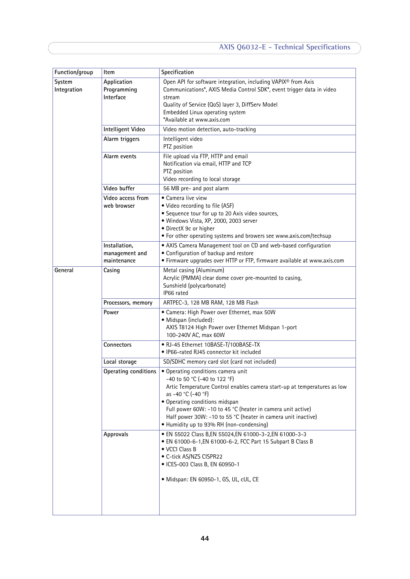| Function/group        | Item                                           | Specification                                                                                                                                                                                                                                                                                                                                                                      |
|-----------------------|------------------------------------------------|------------------------------------------------------------------------------------------------------------------------------------------------------------------------------------------------------------------------------------------------------------------------------------------------------------------------------------------------------------------------------------|
| System<br>Integration | Application<br>Programming<br>Interface        | Open API for software integration, including VAPIX® from Axis<br>Communications*, AXIS Media Control SDK*, event trigger data in video<br>stream<br>Quality of Service (QoS) layer 3, DiffServ Model<br>Embedded Linux operating system<br>*Available at www.axis.com                                                                                                              |
|                       | Intelligent Video                              | Video motion detection, auto-tracking                                                                                                                                                                                                                                                                                                                                              |
|                       | Alarm triggers                                 | Intelligent video<br>PTZ position                                                                                                                                                                                                                                                                                                                                                  |
|                       | Alarm events                                   | File upload via FTP, HTTP and email<br>Notification via email, HTTP and TCP<br>PTZ position<br>Video recording to local storage                                                                                                                                                                                                                                                    |
|                       | Video buffer                                   | 56 MB pre- and post alarm                                                                                                                                                                                                                                                                                                                                                          |
|                       | Video access from<br>web browser               | • Camera live view<br>• Video recording to file (ASF)<br>• Sequence tour for up to 20 Axis video sources,<br>· Windows Vista, XP, 2000, 2003 server<br>• DirectX 9c or higher<br>• For other operating systems and browers see www.axis.com/techsup                                                                                                                                |
|                       | Installation,<br>management and<br>maintenance | • AXIS Camera Management tool on CD and web-based configuration<br>• Configuration of backup and restore<br>• Firmware upgrades over HTTP or FTP, firmware available at www.axis.com                                                                                                                                                                                               |
| General               | Casing                                         | Metal casing (Aluminum)<br>Acrylic (PMMA) clear dome cover pre-mounted to casing,<br>Sunshield (polycarbonate)<br>IP66 rated                                                                                                                                                                                                                                                       |
|                       | Processors, memory                             | ARTPEC-3, 128 MB RAM, 128 MB Flash                                                                                                                                                                                                                                                                                                                                                 |
|                       | Power                                          | • Camera: High Power over Ethernet, max 50W<br>· Midspan (included):<br>AXIS T8124 High Power over Ethernet Midspan 1-port<br>100-240V AC, max 60W                                                                                                                                                                                                                                 |
|                       | Connectors                                     | • RJ-45 Ethernet 10BASE-T/100BASE-TX<br>• IP66-rated RJ45 connector kit included                                                                                                                                                                                                                                                                                                   |
|                       | Local storage                                  | SD/SDHC memory card slot (card not included)                                                                                                                                                                                                                                                                                                                                       |
|                       | Operating conditions                           | • Operating conditions camera unit<br>-40 to 50 °C (-40 to 122 °F)<br>Artic Temperature Control enables camera start-up at temperatures as low<br>as -40 °C (-40 °F)<br>• Operating conditions midspan<br>Full power 60W: -10 to 45 °C (heater in camera unit active)<br>Half power 30W: -10 to 55 °C (heater in camera unit inactive)<br>• Humidity up to 93% RH (non-condensing) |
|                       | Approvals                                      | • EN 55022 Class B,EN 55024,EN 61000-3-2,EN 61000-3-3<br>• EN 61000-6-1, EN 61000-6-2, FCC Part 15 Subpart B Class B<br>• VCCI Class B<br>• C-tick AS/NZS CISPR22<br>· ICES-003 Class B, EN 60950-1<br>· Midspan: EN 60950-1, GS, UL, cUL, CE                                                                                                                                      |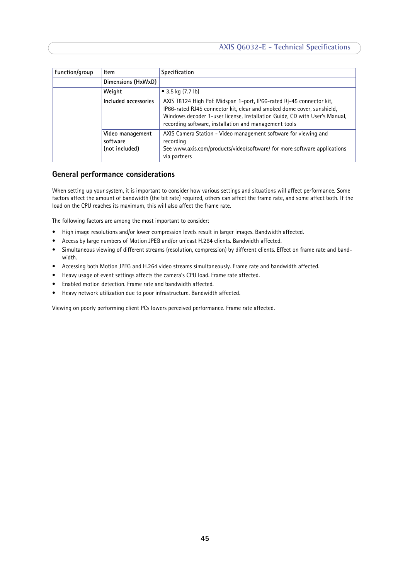| Function/group | Item                                           | Specification                                                                                                                                                                                                                                                                        |
|----------------|------------------------------------------------|--------------------------------------------------------------------------------------------------------------------------------------------------------------------------------------------------------------------------------------------------------------------------------------|
|                | Dimensions (HxWxD)                             |                                                                                                                                                                                                                                                                                      |
|                | Weight                                         | • 3.5 kg $(7.7 \text{ lb})$                                                                                                                                                                                                                                                          |
|                | Included accessories                           | AXIS T8124 High PoE Midspan 1-port, IP66-rated Rj-45 connector kit,<br>IP66-rated RJ45 connector kit, clear and smoked dome cover, sunshield,<br>Windows decoder 1-user license, Installation Guide, CD with User's Manual,<br>recording software, installation and management tools |
|                | Video management<br>software<br>(not included) | AXIS Camera Station - Video management software for viewing and<br>recording<br>See www.axis.com/products/video/software/ for more software applications<br>via partners                                                                                                             |

# <span id="page-44-0"></span>**General performance considerations**

When setting up your system, it is important to consider how various settings and situations will affect performance. Some factors affect the amount of bandwidth (the bit rate) required, others can affect the frame rate, and some affect both. If the load on the CPU reaches its maximum, this will also affect the frame rate.

The following factors are among the most important to consider:

- High image resolutions and/or lower compression levels result in larger images. Bandwidth affected.
- Access by large numbers of Motion JPEG and/or unicast H.264 clients. Bandwidth affected.
- Simultaneous viewing of different streams (resolution, compression) by different clients. Effect on frame rate and bandwidth.
- Accessing both Motion JPEG and H.264 video streams simultaneously. Frame rate and bandwidth affected.
- Heavy usage of event settings affects the camera's CPU load. Frame rate affected.
- Enabled motion detection. Frame rate and bandwidth affected.
- Heavy network utilization due to poor infrastructure. Bandwidth affected.

Viewing on poorly performing client PCs lowers perceived performance. Frame rate affected.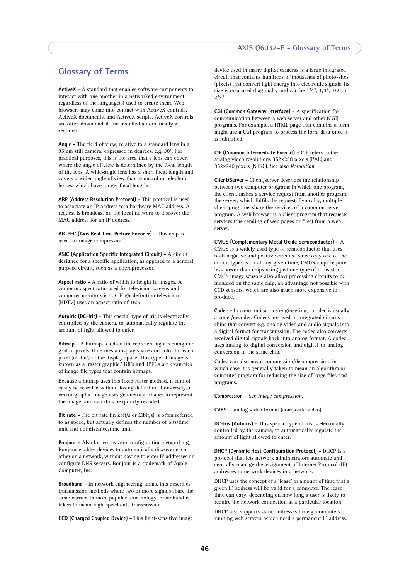#### **AXIS Q6032-E - Glossary of Terms**

# <span id="page-45-0"></span>**Glossary of Terms**

**ActiveX -** A standard that enables software components to interact with one another in a networked environment, regardless of the language(s) used to create them. Web browsers may come into contact with ActiveX controls, ActiveX documents, and ActiveX scripts. ActiveX controls are often downloaded and installed automatically as required.

**Angle -** The field of view, relative to a standard lens in a 35mm still camera, expressed in degrees, e.g. 30°. For practical purposes, this is the area that a lens can cover, where the angle of view is determined by the focal length of the lens. A wide-angle lens has a short focal length and covers a wider angle of view than standard or telephoto lenses, which have longer focal lengths.

**ARP (Address Resolution Protocol) -** This protocol is used to associate an IP address to a hardware MAC address. A request is broadcast on the local network to discover the MAC address for an IP address.

**ARTPEC (Axis Real Time Picture Encoder) -** This chip is used for image compression.

**ASIC (Application Specific Integrated Circuit) -** A circuit designed for a specific application, as opposed to a general purpose circuit, such as a microprocessor.

**Aspect ratio -** A ratio of width to height in images. A common aspect ratio used for television screens and computer monitors is 4:3. High-definition television (HDTV) uses an aspect ratio of 16:9.

**Autoiris (DC-Iris) -** This special type of iris is electrically controlled by the camera, to automatically regulate the amount of light allowed to enter.

**Bitmap -** A bitmap is a data file representing a rectangular grid of pixels. It defines a display space and color for each pixel (or 'bit') in the display space. This type of image is known as a 'raster graphic.' GIFs and JPEGs are examples of image file types that contain bitmaps.

Because a bitmap uses this fixed raster method, it cannot easily be rescaled without losing definition. Conversely, a vector graphic image uses geometrical shapes to represent the image, and can thus be quickly rescaled.

**Bit rate -** The bit rate (in kbit/s or Mbit/s) is often referred to as speed, but actually defines the number of bits/time unit and not distance/time unit.

**Bonjour -** Also known as zero-configuration networking, Bonjour enables devices to automatically discover each other on a network, without having to enter IP addresses or configure DNS servers. Bonjour is a trademark of Apple Computer, Inc.

**Broadband -** In network engineering terms, this describes transmission methods where two or more signals share the same carrier. In more popular terminology, broadband is taken to mean high-speed data transmission.

**CCD (Charged Coupled Device) -** This light-sensitive image

device used in many digital cameras is a large integrated circuit that contains hundreds of thousands of photo-sites (pixels) that convert light energy into electronic signals. Its size is measured diagonally and can be 1/4", 1/3", 1/2" or 2/3".

**CGI (Common Gateway Interface) -** A specification for communication between a web server and other (CGI) programs. For example, a HTML page that contains a form might use a CGI program to process the form data once it is submitted.

**CIF (Common Intermediate Format) -** CIF refers to the analog video resolutions 352x288 pixels (PAL) and 352x240 pixels (NTSC). See also *Resolution*.

**Client/Server -** Client/server describes the relationship between two computer programs in which one program, the client, makes a service request from another program, the server, which fulfils the request. Typically, multiple client programs share the services of a common server program. A web browser is a client program that requests services (the sending of web pages or files) from a web server.

**CMOS (Complementary Metal Oxide Semiconductor) -** A CMOS is a widely used type of semiconductor that uses both negative and positive circuits. Since only one of the circuit types is on at any given time, CMOS chips require less power than chips using just one type of transistor. CMOS image sensors also allow processing circuits to be included on the same chip, an advantage not possible with CCD sensors, which are also much more expensive to produce.

**Codec -** In communications engineering, a codec is usually a coder/decoder. Codecs are used in integrated circuits or chips that convert e.g. analog video and audio signals into a digital format for transmission. The codec also converts received digital signals back into analog format. A codec uses analog-to-digital conversion and digital-to-analog conversion in the same chip.

Codec can also mean compression/decompression, in which case it is generally taken to mean an algorithm or computer program for reducing the size of large files and programs.

**Compression -** See *Image compression*.

**CVBS -** analog video format (composite video).

**DC-Iris (Autoiris) -** This special type of iris is electrically controlled by the camera, to automatically regulate the amount of light allowed to enter.

**DHCP (Dynamic Host Configuration Protocol) -** DHCP is a protocol that lets network administrators automate and centrally manage the assignment of Internet Protocol (IP) addresses to network devices in a network.

DHCP uses the concept of a 'lease' or amount of time that a given IP address will be valid for a computer. The lease time can vary, depending on how long a user is likely to require the network connection at a particular location.

DHCP also supports static addresses for e.g. computers running web servers, which need a permanent IP address.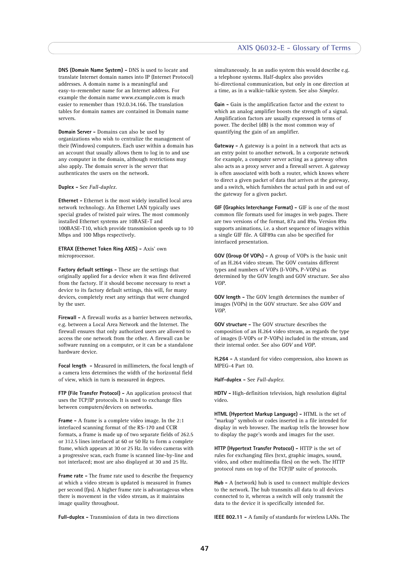**DNS (Domain Name System) -** DNS is used to locate and translate Internet domain names into IP (Internet Protocol) addresses. A domain name is a meaningful and easy-to-remember name for an Internet address. For example the domain name www.example.com is much easier to remember than 192.0.34.166. The translation tables for domain names are contained in Domain name servers.

**Domain Server -** Domains can also be used by organizations who wish to centralize the management of their (Windows) computers. Each user within a domain has an account that usually allows them to log in to and use any computer in the domain, although restrictions may also apply. The domain server is the server that authenticates the users on the network.

#### **Duplex -** See *Full-duplex.*

**Ethernet - Ethernet is the most widely installed local area** network technology. An Ethernet LAN typically uses special grades of twisted pair wires. The most commonly installed Ethernet systems are 10BASE-T and 100BASE-T10, which provide transmission speeds up to 10 Mbps and 100 Mbps respectively.

#### **ETRAX (Ethernet Token Ring AXIS) -** Axis' own microprocessor.

**Factory default settings -** These are the settings that originally applied for a device when it was first delivered from the factory. If it should become necessary to reset a device to its factory default settings, this will, for many devices, completely reset any settings that were changed by the user.

**Firewall -** A firewall works as a barrier between networks, e.g. between a Local Area Network and the Internet. The firewall ensures that only authorized users are allowed to access the one network from the other. A firewall can be software running on a computer, or it can be a standalone hardware device.

**Focal length -** Measured in millimeters, the focal length of a camera lens determines the width of the horizontal field of view, which in turn is measured in degrees.

**FTP (File Transfer Protocol) -** An application protocol that uses the TCP/IP protocols. It is used to exchange files between computers/devices on networks.

**Frame -** A frame is a complete video image. In the 2:1 interlaced scanning format of the RS-170 and CCIR formats, a frame is made up of two separate fields of 262.5 or 312.5 lines interlaced at 60 or 50 Hz to form a complete frame, which appears at 30 or 25 Hz. In video cameras with a progressive scan, each frame is scanned line-by-line and not interlaced; most are also displayed at 30 and 25 Hz.

**Frame rate -** The frame rate used to describe the frequency at which a video stream is updated is measured in frames per second (fps). A higher frame rate is advantageous when there is movement in the video stream, as it maintains image quality throughout.

**Full-duplex -** Transmission of data in two directions

simultaneously. In an audio system this would describe e.g. a telephone systems. Half-duplex also provides bi-directional communication, but only in one direction at a time, as in a walkie-talkie system. See also *Simplex*.

**Gain -** Gain is the amplification factor and the extent to which an analog amplifier boosts the strength of a signal. Amplification factors are usually expressed in terms of power. The decibel (dB) is the most common way of quantifying the gain of an amplifier.

**Gateway -** A gateway is a point in a network that acts as an entry point to another network. In a corporate network for example, a computer server acting as a gateway often also acts as a proxy server and a firewall server. A gateway is often associated with both a router, which knows where to direct a given packet of data that arrives at the gateway, and a switch, which furnishes the actual path in and out of the gateway for a given packet.

**GIF (Graphics Interchange Format) -** GIF is one of the most common file formats used for images in web pages. There are two versions of the format, 87a and 89a. Version 89a supports animations, i.e. a short sequence of images within a single GIF file. A GIF89a can also be specified for interlaced presentation.

**GOV (Group Of VOPs) -** A group of VOPs is the basic unit of an H.264 video stream. The GOV contains different types and numbers of VOPs (I-VOPs, P-VOPs) as determined by the GOV length and GOV structure. See also *VOP*.

**GOV length -** The GOV length determines the number of images (VOPs) in the GOV structure. See also *GOV* and *VOP*.

**GOV structure -** The GOV structure describes the composition of an H.264 video stream, as regards the type of images (I-VOPs or P-VOPs) included in the stream, and their internal order. See also *GOV* and *VOP*.

**H.264 -** A standard for video compression, also known as MPEG-4 Part 10.

**Half-duplex -** See *Full-duplex*.

**HDTV -** High-definition television, high resolution digital video.

**HTML (Hypertext Markup Language) -** HTML is the set of "markup" symbols or codes inserted in a file intended for display in web browser. The markup tells the browser how to display the page's words and images for the user.

**HTTP (Hypertext Transfer Protocol) -** HTTP is the set of rules for exchanging files (text, graphic images, sound, video, and other multimedia files) on the web. The HTTP protocol runs on top of the TCP/IP suite of protocols.

**Hub -** A (network) hub is used to connect multiple devices to the network. The hub transmits all data to all devices connected to it, whereas a switch will only transmit the data to the device it is specifically intended for.

**IEEE 802.11 -** A family of standards for wireless LANs. The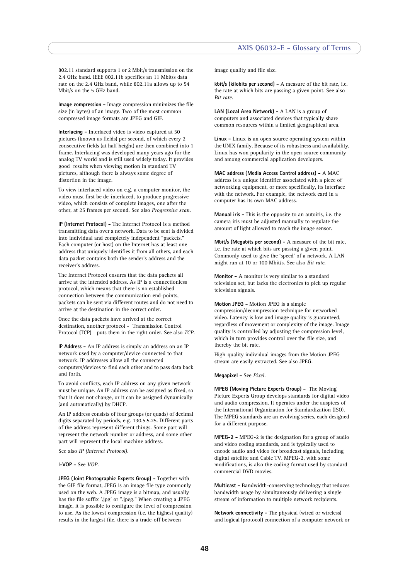#### **AXIS Q6032-E - Glossary of Terms**

802.11 standard supports 1 or 2 Mbit/s transmission on the 2.4 GHz band. IEEE 802.11b specifies an 11 Mbit/s data rate on the 2.4 GHz band, while 802.11a allows up to 54 Mbit/s on the 5 GHz band.

**Image compression -** Image compression minimizes the file size (in bytes) of an image. Two of the most common compressed image formats are JPEG and GIF.

**Interlacing -** Interlaced video is video captured at 50 pictures (known as fields) per second, of which every 2 consecutive fields (at half height) are then combined into 1 frame. Interlacing was developed many years ago for the analog TV world and is still used widely today. It provides good results when viewing motion in standard TV pictures, although there is always some degree of distortion in the image.

To view interlaced video on e.g. a computer monitor, the video must first be de-interlaced, to produce progressive video, which consists of complete images, one after the other, at 25 frames per second. See also *Progressive scan*.

**IP (Internet Protocol) -** The Internet Protocol is a method transmitting data over a network. Data to be sent is divided into individual and completely independent "packets." Each computer (or host) on the Internet has at least one address that uniquely identifies it from all others, and each data packet contains both the sender's address and the receiver's address.

The Internet Protocol ensures that the data packets all arrive at the intended address. As IP is a connectionless protocol, which means that there is no established connection between the communication end-points, packets can be sent via different routes and do not need to arrive at the destination in the correct order.

Once the data packets have arrived at the correct destination, another protocol - Transmission Control Protocol (TCP) - puts them in the right order. See also *TCP*.

**IP Address -** An IP address is simply an address on an IP network used by a computer/device connected to that network. IP addresses allow all the connected computers/devices to find each other and to pass data back and forth.

To avoid conflicts, each IP address on any given network must be unique. An IP address can be assigned as fixed, so that it does not change, or it can be assigned dynamically (and automatically) by DHCP.

An IP address consists of four groups (or quads) of decimal digits separated by periods, e.g. 130.5.5.25. Different parts of the address represent different things. Some part will represent the network number or address, and some other part will represent the local machine address.

See also *IP (Internet Protocol).*

**I-VOP -** See *VOP*.

**JPEG (Joint Photographic Experts Group) -** Together with the GIF file format, JPEG is an image file type commonly used on the web. A JPEG image is a bitmap, and usually has the file suffix '.jpg' or ".jpeg." When creating a JPEG image, it is possible to configure the level of compression to use. As the lowest compression (i.e. the highest quality) results in the largest file, there is a trade-off between

image quality and file size.

**kbit/s (kilobits per second) -** A measure of the bit rate, i.e. the rate at which bits are passing a given point. See also *Bit rate*.

**LAN (Local Area Network) -** A LAN is a group of computers and associated devices that typically share common resources within a limited geographical area.

**Linux -** Linux is an open source operating system within the UNIX family. Because of its robustness and availability, Linux has won popularity in the open source community and among commercial application developers.

**MAC address (Media Access Control address) -** A MAC address is a unique identifier associated with a piece of networking equipment, or more specifically, its interface with the network. For example, the network card in a computer has its own MAC address.

**Manual iris -** This is the opposite to an autoiris, i.e. the camera iris must be adjusted manually to regulate the amount of light allowed to reach the image sensor.

**Mbit/s (Megabits per second) -** A measure of the bit rate, i.e. the rate at which bits are passing a given point. Commonly used to give the 'speed' of a network. A LAN might run at 10 or 100 Mbit/s. See also *Bit rate*.

**Monitor -** A monitor is very similar to a standard television set, but lacks the electronics to pick up regular television signals.

**Motion JPEG -** Motion JPEG is a simple compression/decompression technique for networked video. Latency is low and image quality is guaranteed, regardless of movement or complexity of the image. Image quality is controlled by adjusting the compression level, which in turn provides control over the file size, and thereby the bit rate.

High-quality individual images from the Motion JPEG stream are easily extracted. See also JPEG.

**Megapixel -** See *Pixel*.

**MPEG (Moving Picture Experts Group) -** The Moving Picture Experts Group develops standards for digital video and audio compression. It operates under the auspices of the International Organization for Standardization (ISO). The MPEG standards are an evolving series, each designed for a different purpose.

**MPEG-2 -** MPEG-2 is the designation for a group of audio and video coding standards, and is typically used to encode audio and video for broadcast signals, including digital satellite and Cable TV. MPEG-2, with some modifications, is also the coding format used by standard commercial DVD movies.

**Multicast -** Bandwidth-conserving technology that reduces bandwidth usage by simultaneously delivering a single stream of information to multiple network recipients.

**Network connectivity -** The physical (wired or wireless) and logical (protocol) connection of a computer network or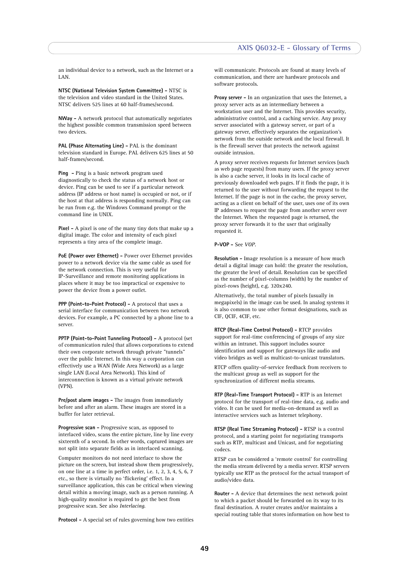an individual device to a network, such as the Internet or a LAN.

**NTSC (National Television System Committee) -** NTSC is the television and video standard in the United States. NTSC delivers 525 lines at 60 half-frames/second.

**NWay -** A network protocol that automatically negotiates the highest possible common transmission speed between two devices.

**PAL (Phase Alternating Line) -** PAL is the dominant television standard in Europe. PAL delivers 625 lines at 50 half-frames/second.

**Ping -** Ping is a basic network program used diagnostically to check the status of a network host or device. Ping can be used to see if a particular network address (IP address or host name) is occupied or not, or if the host at that address is responding normally. Ping can be run from e.g. the Windows Command prompt or the command line in UNIX.

**Pixel -** A pixel is one of the many tiny dots that make up a digital image. The color and intensity of each pixel represents a tiny area of the complete image.

**PoE (Power over Ethernet) -** Power over Ethernet provides power to a network device via the same cable as used for the network connection. This is very useful for IP-Surveillance and remote monitoring applications in places where it may be too impractical or expensive to power the device from a power outlet.

**PPP (Point-to-Point Protocol) -** A protocol that uses a serial interface for communication between two network devices. For example, a PC connected by a phone line to a server.

**PPTP (Point-to-Point Tunneling Protocol) -** A protocol (set of communication rules) that allows corporations to extend their own corporate network through private "tunnels" over the public Internet. In this way a corporation can effectively use a WAN (Wide Area Network) as a large single LAN (Local Area Network). This kind of interconnection is known as a virtual private network (VPN).

**Pre/post alarm images -** The images from immediately before and after an alarm. These images are stored in a buffer for later retrieval.

**Progressive scan -** Progressive scan, as opposed to interlaced video, scans the entire picture, line by line every sixteenth of a second. In other words, captured images are not split into separate fields as in interlaced scanning.

Computer monitors do not need interlace to show the picture on the screen, but instead show them progressively, on one line at a time in perfect order, i.e. 1, 2, 3, 4, 5, 6, 7 etc., so there is virtually no 'flickering' effect. In a surveillance application, this can be critical when viewing detail within a moving image, such as a person running. A high-quality monitor is required to get the best from progressive scan. See also *Interlacing*.

**Protocol -** A special set of rules governing how two entities

will communicate. Protocols are found at many levels of communication, and there are hardware protocols and software protocols.

**Proxy server -** In an organization that uses the Internet, a proxy server acts as an intermediary between a workstation user and the Internet. This provides security, administrative control, and a caching service. Any proxy server associated with a gateway server, or part of a gateway server, effectively separates the organization's network from the outside network and the local firewall. It is the firewall server that protects the network against outside intrusion.

A proxy server receives requests for Internet services (such as web page requests) from many users. If the proxy server is also a cache server, it looks in its local cache of previously downloaded web pages. If it finds the page, it is returned to the user without forwarding the request to the Internet. If the page is not in the cache, the proxy server, acting as a client on behalf of the user, uses one of its own IP addresses to request the page from another server over the Internet. When the requested page is returned, the proxy server forwards it to the user that originally requested it.

#### **P-VOP -** See *VOP*.

**Resolution -** Image resolution is a measure of how much detail a digital image can hold: the greater the resolution, the greater the level of detail. Resolution can be specified as the number of pixel-columns (width) by the number of pixel-rows (height), e.g. 320x240.

Alternatively, the total number of pixels (usually in megapixels) in the image can be used. In analog systems it is also common to use other format designations, such as CIF, QCIF, 4CIF, etc.

**RTCP (Real-Time Control Protocol) -** RTCP provides support for real-time conferencing of groups of any size within an intranet. This support includes source identification and support for gateways like audio and video bridges as well as multicast-to-unicast translators.

RTCP offers quality-of-service feedback from receivers to the multicast group as well as support for the synchronization of different media streams.

**RTP (Real-Time Transport Protocol) -** RTP is an Internet protocol for the transport of real-time data, e.g. audio and video. It can be used for media-on-demand as well as interactive services such as Internet telephony.

**RTSP (Real Time Streaming Protocol) -** RTSP is a control protocol, and a starting point for negotiating transports such as RTP, multicast and Unicast, and for negotiating codecs.

RTSP can be considered a 'remote control' for controlling the media stream delivered by a media server. RTSP servers typically use RTP as the protocol for the actual transport of audio/video data.

**Router -** A device that determines the next network point to which a packet should be forwarded on its way to its final destination. A router creates and/or maintains a special routing table that stores information on how best to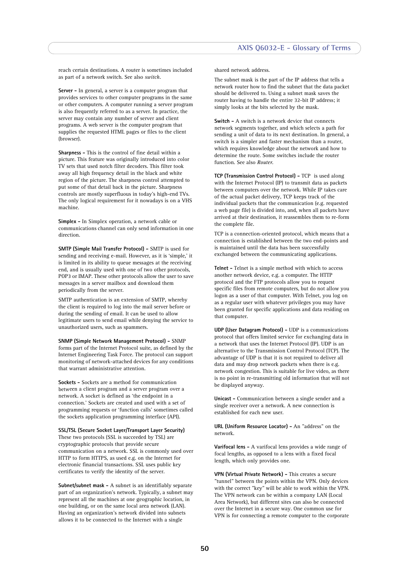reach certain destinations. A router is sometimes included as part of a network switch. See also *switch*.

**Server -** In general, a server is a computer program that provides services to other computer programs in the same or other computers. A computer running a server program is also frequently referred to as a server. In practice, the server may contain any number of server and client programs. A web server is the computer program that supplies the requested HTML pages or files to the client (browser).

**Sharpness -** This is the control of fine detail within a picture. This feature was originally introduced into color TV sets that used notch filter decoders. This filter took away all high frequency detail in the black and white region of the picture. The sharpness control attempted to put some of that detail back in the picture. Sharpness controls are mostly superfluous in today's high-end TVs. The only logical requirement for it nowadays is on a VHS machine.

**Simplex -** In Simplex operation, a network cable or communications channel can only send information in one direction.

**SMTP (Simple Mail Transfer Protocol) -** SMTP is used for sending and receiving e-mail. However, as it is 'simple,' it is limited in its ability to queue messages at the receiving end, and is usually used with one of two other protocols, POP3 or IMAP. These other protocols allow the user to save messages in a server mailbox and download them periodically from the server.

SMTP authentication is an extension of SMTP, whereby the client is required to log into the mail server before or during the sending of email. It can be used to allow legitimate users to send email while denying the service to unauthorized users, such as spammers.

**SNMP (Simple Network Management Protocol) -** SNMP forms part of the Internet Protocol suite, as defined by the Internet Engineering Task Force. The protocol can support monitoring of network-attached devices for any conditions that warrant administrative attention.

**Sockets -** Sockets are a method for communication between a client program and a server program over a network. A socket is defined as 'the endpoint in a connection.' Sockets are created and used with a set of programming requests or 'function calls' sometimes called the sockets application programming interface (API).

**SSL/TSL (Secure Socket Layer/Transport Layer Security)** These two protocols (SSL is succeeded by TSL) are cryptographic protocols that provide secure communication on a network. SSL is commonly used over HTTP to form HTTPS, as used e.g. on the Internet for electronic financial transactions. SSL uses public key certificates to verify the identity of the server.

**Subnet/subnet mask -** A subnet is an identifiably separate part of an organization's network. Typically, a subnet may represent all the machines at one geographic location, in one building, or on the same local area network (LAN). Having an organization's network divided into subnets allows it to be connected to the Internet with a single

shared network address.

The subnet mask is the part of the IP address that tells a network router how to find the subnet that the data packet should be delivered to. Using a subnet mask saves the router having to handle the entire 32-bit IP address; it simply looks at the bits selected by the mask.

**Switch -** A switch is a network device that connects network segments together, and which selects a path for sending a unit of data to its next destination. In general, a switch is a simpler and faster mechanism than a router, which requires knowledge about the network and how to determine the route. Some switches include the router function. See also *Router*.

**TCP (Transmission Control Protocol) -** TCP is used along with the Internet Protocol (IP) to transmit data as packets between computers over the network. While IP takes care of the actual packet delivery, TCP keeps track of the individual packets that the communication (e.g. requested a web page file) is divided into, and, when all packets have arrived at their destination, it reassembles them to re-form the complete file.

TCP is a connection-oriented protocol, which means that a connection is established between the two end-points and is maintained until the data has been successfully exchanged between the communicating applications.

**Telnet -** Telnet is a simple method with which to access another network device, e.g. a computer. The HTTP protocol and the FTP protocols allow you to request specific files from remote computers, but do not allow you logon as a user of that computer. With Telnet, you log on as a regular user with whatever privileges you may have been granted for specific applications and data residing on that computer.

**UDP (User Datagram Protocol) -** UDP is a communications protocol that offers limited service for exchanging data in a network that uses the Internet Protocol (IP). UDP is an alternative to the Transmission Control Protocol (TCP). The advantage of UDP is that it is not required to deliver all data and may drop network packets when there is e.g. network congestion. This is suitable for live video, as there is no point in re-transmitting old information that will not be displayed anyway.

**Unicast -** Communication between a single sender and a single receiver over a network. A new connection is established for each new user.

**URL (Uniform Resource Locator) -** An "address" on the network.

**Varifocal lens -** A varifocal lens provides a wide range of focal lengths, as opposed to a lens with a fixed focal length, which only provides one.

**VPN (Virtual Private Network) -** This creates a secure "tunnel" between the points within the VPN. Only devices with the correct "key" will be able to work within the VPN. The VPN network can be within a company LAN (Local Area Network), but different sites can also be connected over the Internet in a secure way. One common use for VPN is for connecting a remote computer to the corporate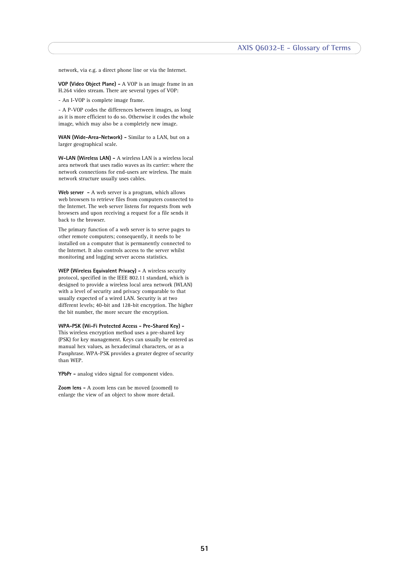network, via e.g. a direct phone line or via the Internet.

**VOP (Video Object Plane) -** A VOP is an image frame in an H.264 video stream. There are several types of VOP:

- An I-VOP is complete image frame.

- A P-VOP codes the differences between images, as long as it is more efficient to do so. Otherwise it codes the whole image, which may also be a completely new image.

**WAN (Wide-Area-Network) -** Similar to a LAN, but on a larger geographical scale.

**W-LAN (Wireless LAN) -** A wireless LAN is a wireless local area network that uses radio waves as its carrier: where the network connections for end-users are wireless. The main network structure usually uses cables.

Web server - A web server is a program, which allows web browsers to retrieve files from computers connected to the Internet. The web server listens for requests from web browsers and upon receiving a request for a file sends it back to the browser.

The primary function of a web server is to serve pages to other remote computers; consequently, it needs to be installed on a computer that is permanently connected to the Internet. It also controls access to the server whilst monitoring and logging server access statistics.

**WEP (Wireless Equivalent Privacy) -** A wireless security protocol, specified in the IEEE 802.11 standard, which is designed to provide a wireless local area network (WLAN) with a level of security and privacy comparable to that usually expected of a wired LAN. Security is at two different levels; 40-bit and 128-bit encryption. The higher the bit number, the more secure the encryption.

**WPA-PSK (Wi-Fi Protected Access - Pre-Shared Key) -**  This wireless encryption method uses a pre-shared key (PSK) for key management. Keys can usually be entered as manual hex values, as hexadecimal characters, or as a Passphrase. WPA-PSK provides a greater degree of security than WEP.

**YPbPr -** analog video signal for component video.

**Zoom lens -** A zoom lens can be moved (zoomed) to enlarge the view of an object to show more detail.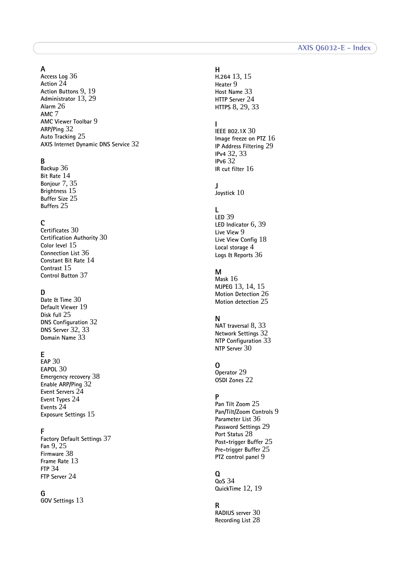# **A**

**Access Log** [36](#page-35-3) **Action** [24](#page-23-4) **Action Buttons** [9,](#page-8-0) [19](#page-18-0) **Administrator** [13,](#page-12-3) [29](#page-28-2) **Alarm** [26](#page-25-2) **AMC** [7](#page-6-2) **AMC Viewer Toolbar** [9](#page-8-1) **ARP/Ping** [32](#page-31-1) **Auto Tracking** [25](#page-24-2) **AXIS Internet Dynamic DNS Service** [32](#page-31-2)

# **B**

**Backup** [36](#page-35-4) **Bit Rate** [14](#page-13-0) **Bonjour** [7,](#page-6-3) [35](#page-34-3) **Brightness** [15](#page-14-2) **Buffer Size** [25](#page-24-3) **Buffers** [25](#page-24-4)

# **C**

**Certificates** [30](#page-29-1) **Certification Authority** [30](#page-29-2) **Color level** [15](#page-14-3) **Connection List** [36](#page-35-5) **Constant Bit Rate** [14](#page-13-1) **Contrast** [15](#page-14-4) **Control Button** [37](#page-36-3)

# **D**

**Date & Time** [30](#page-29-3) **Default Viewer** [19](#page-18-1) **Disk full** [25](#page-24-5) **DNS Configuration** [32](#page-31-3) **DNS Server** [32,](#page-31-4) [33](#page-32-1) **Domain Name** [33](#page-32-2)

# **E**

**EAP** [30](#page-29-4) **EAPOL** [30](#page-29-5) **Emergency recovery** [38](#page-37-5) **Enable ARP/Ping** [32](#page-31-5) **Event Servers** [24](#page-23-5) **Event Types** [24](#page-23-6) **Events** [24](#page-23-3) **Exposure Settings** [15](#page-14-5)

### **F**

**Factory Default Settings** [37](#page-36-4) **Fan** [9,](#page-8-2) [25](#page-24-6) **Firmware** [38](#page-37-6) **Frame Rate** [13](#page-12-4) **FTP** [34](#page-33-1) **FTP Server** [24](#page-23-7)

#### **G**

**GOV Settings** [13](#page-12-5)

# **H**

**H.264** [13,](#page-12-6) [15](#page-14-6) **Heater** [9](#page-8-3) **Host Name** [33](#page-32-3) **HTTP Server** [24](#page-23-8) **HTTPS** [8,](#page-7-2) [29,](#page-28-3) [33](#page-32-4)

# **I**

**IEEE 802.1X** [30](#page-29-6) **Image freeze on PTZ** [16](#page-15-2) **IP Address Filtering** [29](#page-28-4) **IPv4** [32,](#page-31-6) [33](#page-32-5) **IPv6** [32](#page-31-7) **IR cut filter** [16](#page-15-3)

# **J**

**Joystick** [10](#page-9-1)

### **L**

**LED** [39](#page-39-2) **LED Indicator** [6,](#page-5-2) [39](#page-39-3) **Live View** [9](#page-8-4) **Live View Config** [18](#page-17-2) **Local storage** [4](#page-3-2) **Logs & Reports** [36](#page-35-6)

# **M**

**Mask** [16](#page-15-4) **MJPEG** [13,](#page-12-7) [14,](#page-13-2) [15](#page-14-7) **Motion Detection** [26](#page-25-3) **Motion detection** [25](#page-24-7)

## **N**

**NAT traversal** [8,](#page-7-3) [33](#page-32-0) **Network Settings** [32](#page-31-8) **NTP Configuration** [33](#page-32-6) **NTP Server** [30](#page-29-7)

# **O**

**Operator** [29](#page-28-5) **OSDI Zones** [22](#page-21-2)

# **P**

**Pan Tilt Zoom** [25](#page-24-8) **Pan/Tilt/Zoom Controls** [9](#page-8-5) **Parameter List** [36](#page-35-7) **Password Settings** [29](#page-28-6) **Port Status** [28](#page-27-1) **Post-trigger Buffer** [25](#page-24-9) **Pre-trigger Buffer** [25](#page-24-10) **PTZ control panel** [9](#page-8-6)

#### **Q QoS** [34](#page-33-2)

**QuickTime** [12,](#page-11-3) [19](#page-18-2)

# **R**

**RADIUS server** [30](#page-29-8) **Recording List** [28](#page-27-2)